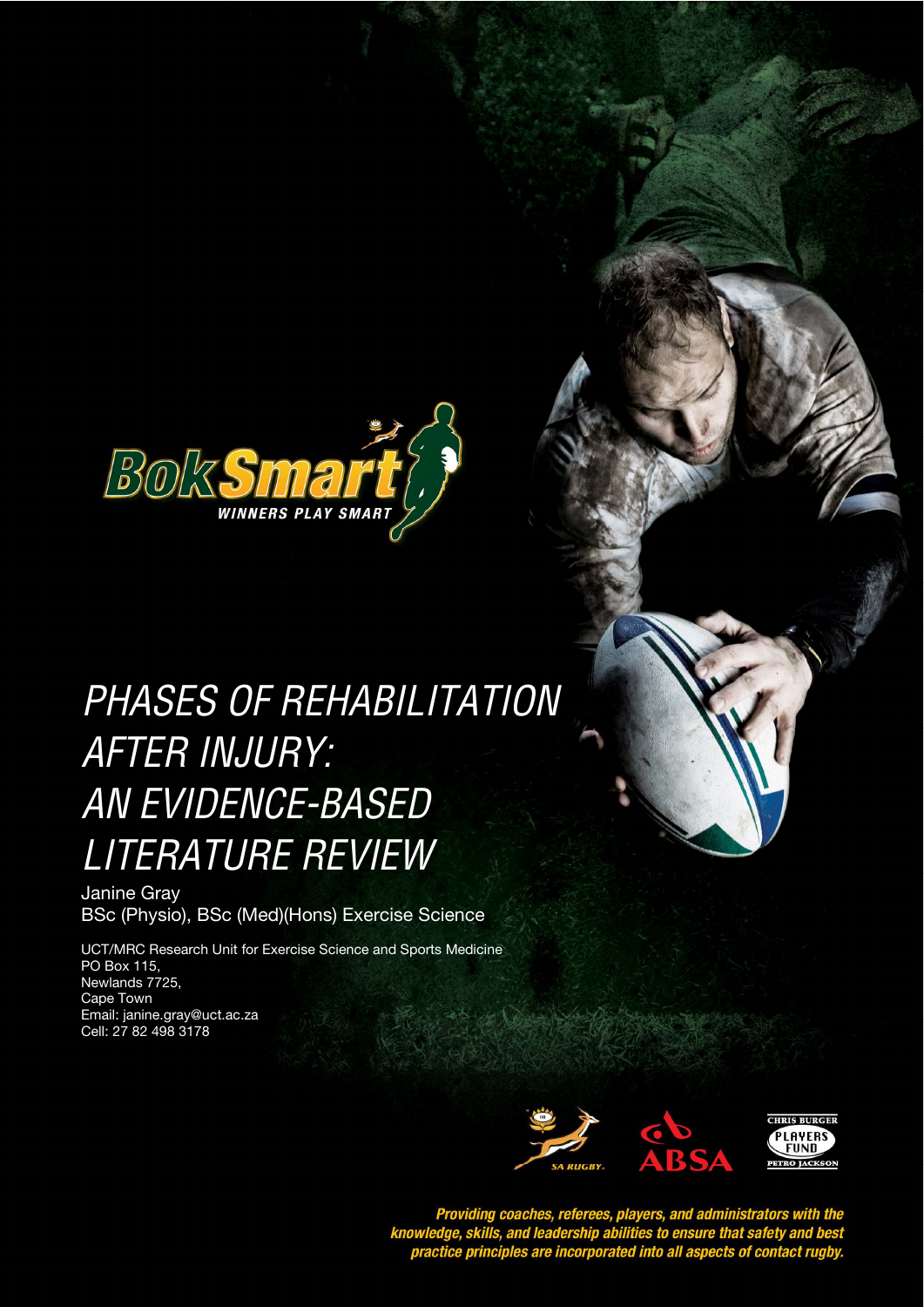

# PHASES OF REHABILITATION *STYLE HEADING FOR TABLES*  AFTER INJURY: AN EVIDENCE-BASED LITERATURE REVIEW

Janine Gray BSc (Physio), BSc (Med)(Hons) Exercise Science

UCT/MRC Research Unit for Exercise Science and Sports Medicine PO Box 115, Newlands 7725, Cape Town Email: janine.gray@uct.ac.za Cell: 27 82 498 3178



Providing coaches, referees, players, and administrators with the<br>knowledge, skills, and leadership abilities to ensure that safety and best<br>practice principles are incorporated into all aspects of contact rugby.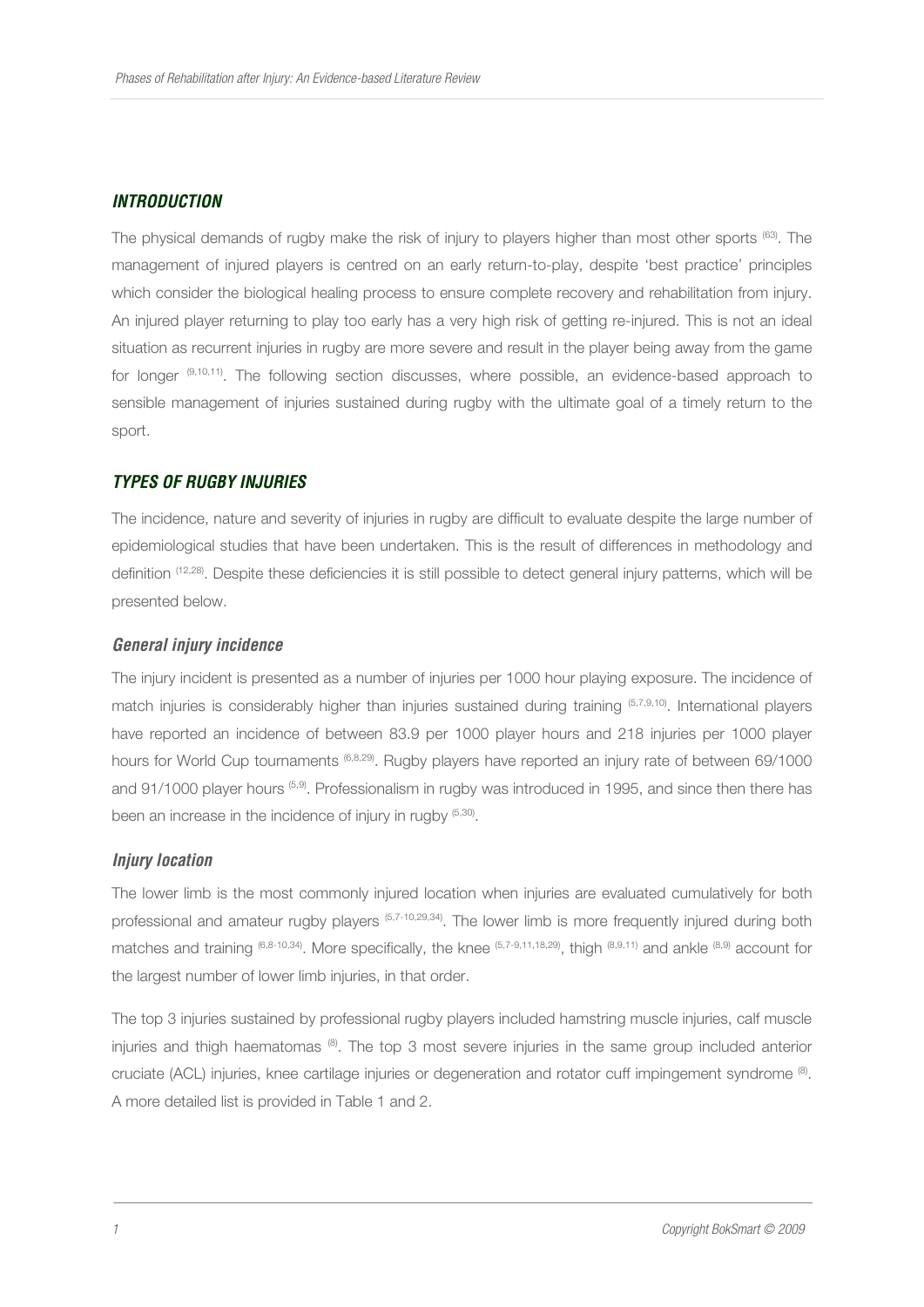## *INTRODUCTION*

The physical demands of rugby make the risk of injury to players higher than most other sports (63). The management of injured players is centred on an early return-to-play, despite 'best practice' principles which consider the biological healing process to ensure complete recovery and rehabilitation from injury. An injured player returning to play too early has a very high risk of getting re-injured. This is not an ideal situation as recurrent injuries in rugby are more severe and result in the player being away from the game for longer <sup>(9,10,11)</sup>. The following section discusses, where possible, an evidence-based approach to sensible management of injuries sustained during rugby with the ultimate goal of a timely return to the sport.

#### *TYPES OF RUGBY INJURIES*

The incidence, nature and severity of injuries in rugby are difficult to evaluate despite the large number of epidemiological studies that have been undertaken. This is the result of differences in methodology and definition (12,28). Despite these deficiencies it is still possible to detect general injury patterns, which will be presented below.

#### *General injury incidence*

The injury incident is presented as a number of injuries per 1000 hour playing exposure. The incidence of match injuries is considerably higher than injuries sustained during training (5,7,9,10). International players have reported an incidence of between 83.9 per 1000 player hours and 218 injuries per 1000 player hours for World Cup tournaments (6,8,29). Rugby players have reported an injury rate of between 69/1000 and 91/1000 player hours (5,9). Professionalism in rugby was introduced in 1995, and since then there has been an increase in the incidence of injury in rugby (5,30).

#### *Injury location*

The lower limb is the most commonly injured location when injuries are evaluated cumulatively for both professional and amateur rugby players (5,7-10,29,34). The lower limb is more frequently injured during both matches and training (6,8-10,34). More specifically, the knee (5,7-9,11,18,29), thigh (8,9,11) and ankle (8,9) account for the largest number of lower limb injuries, in that order.

The top 3 injuries sustained by professional rugby players included hamstring muscle injuries, calf muscle injuries and thigh haematomas (8). The top 3 most severe injuries in the same group included anterior cruciate (ACL) injuries, knee cartilage injuries or degeneration and rotator cuff impingement syndrome  $^{(8)}$ . A more detailed list is provided in Table 1 and 2.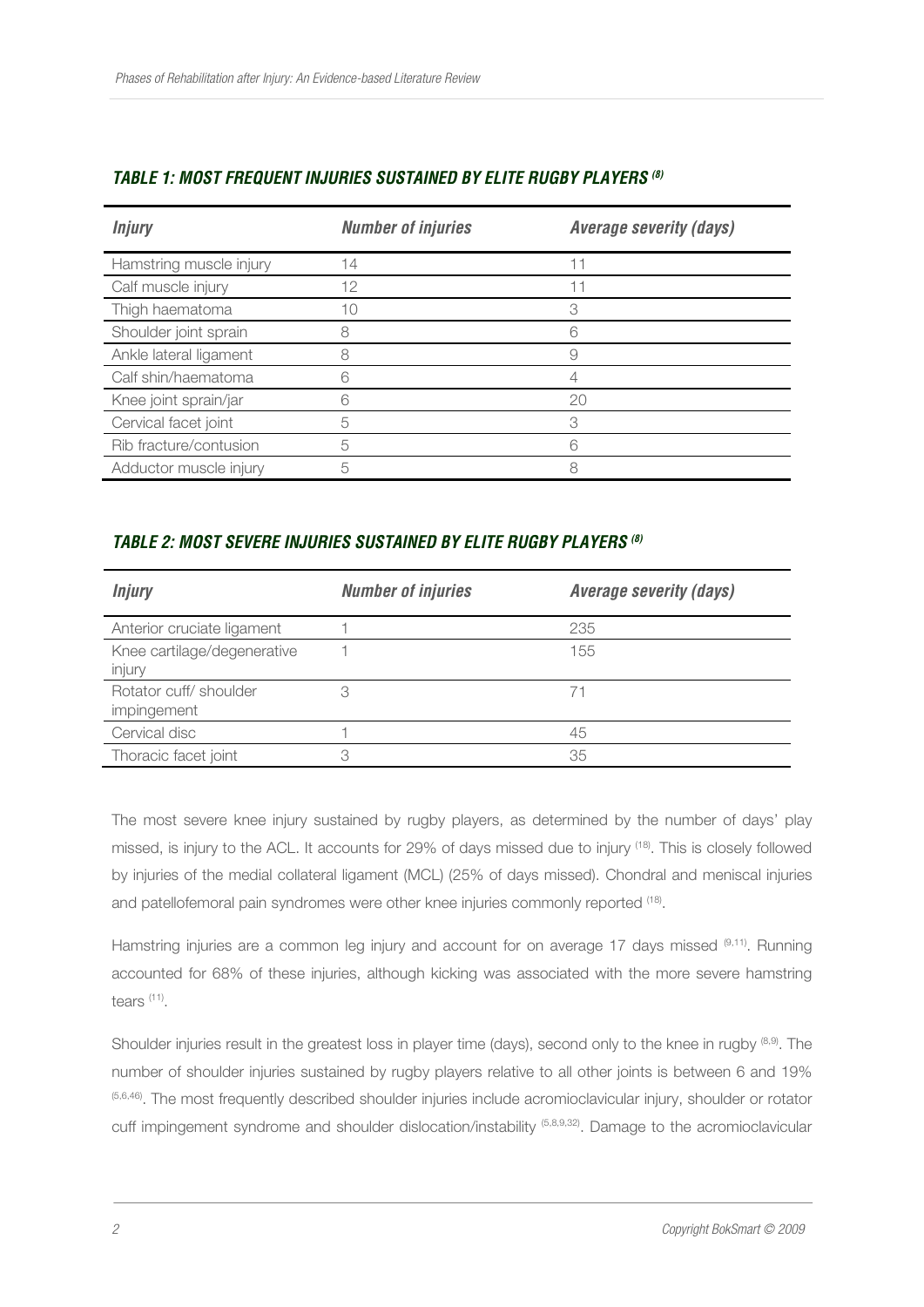| <b>Injury</b>           | <b>Number of injuries</b> | <b>Average severity (days)</b> |
|-------------------------|---------------------------|--------------------------------|
| Hamstring muscle injury | 14                        |                                |
| Calf muscle injury      | 12                        |                                |
| Thigh haematoma         | 1C                        | 3                              |
| Shoulder joint sprain   | 8                         | հ                              |
| Ankle lateral ligament  | 8                         | 9                              |
| Calf shin/haematoma     | 6                         |                                |
| Knee joint sprain/jar   | 6                         | 20                             |
| Cervical facet joint    | 5                         |                                |
| Rib fracture/contusion  | 5                         |                                |
| Adductor muscle injury  | 5                         |                                |

## *TABLE 1: MOST FREQUENT INJURIES SUSTAINED BY ELITE RUGBY PLAYERS (8)*

## *TABLE 2: MOST SEVERE INJURIES SUSTAINED BY ELITE RUGBY PLAYERS (8)*

| <b>Injury</b>                         | <b>Number of injuries</b> | <b>Average severity (days)</b> |
|---------------------------------------|---------------------------|--------------------------------|
| Anterior cruciate ligament            |                           | 235                            |
| Knee cartilage/degenerative<br>injury |                           | 155                            |
| Rotator cuff/shoulder<br>impingement  | 3                         |                                |
| Cervical disc                         |                           | 45                             |
| Thoracic facet joint                  | 3                         | 35                             |

The most severe knee injury sustained by rugby players, as determined by the number of days' play missed, is injury to the ACL. It accounts for 29% of days missed due to injury (18). This is closely followed by injuries of the medial collateral ligament (MCL) (25% of days missed). Chondral and meniscal injuries and patellofemoral pain syndromes were other knee injuries commonly reported <sup>(18)</sup>.

Hamstring injuries are a common leg injury and account for on average 17 days missed (9,11). Running accounted for 68% of these injuries, although kicking was associated with the more severe hamstring tears (11) .

Shoulder injuries result in the greatest loss in player time (days), second only to the knee in rugby (8,9). The number of shoulder injuries sustained by rugby players relative to all other joints is between 6 and 19% (5,6,46). The most frequently described shoulder injuries include acromioclavicular injury, shoulder or rotator cuff impingement syndrome and shoulder dislocation/instability (5,8,9,32). Damage to the acromioclavicular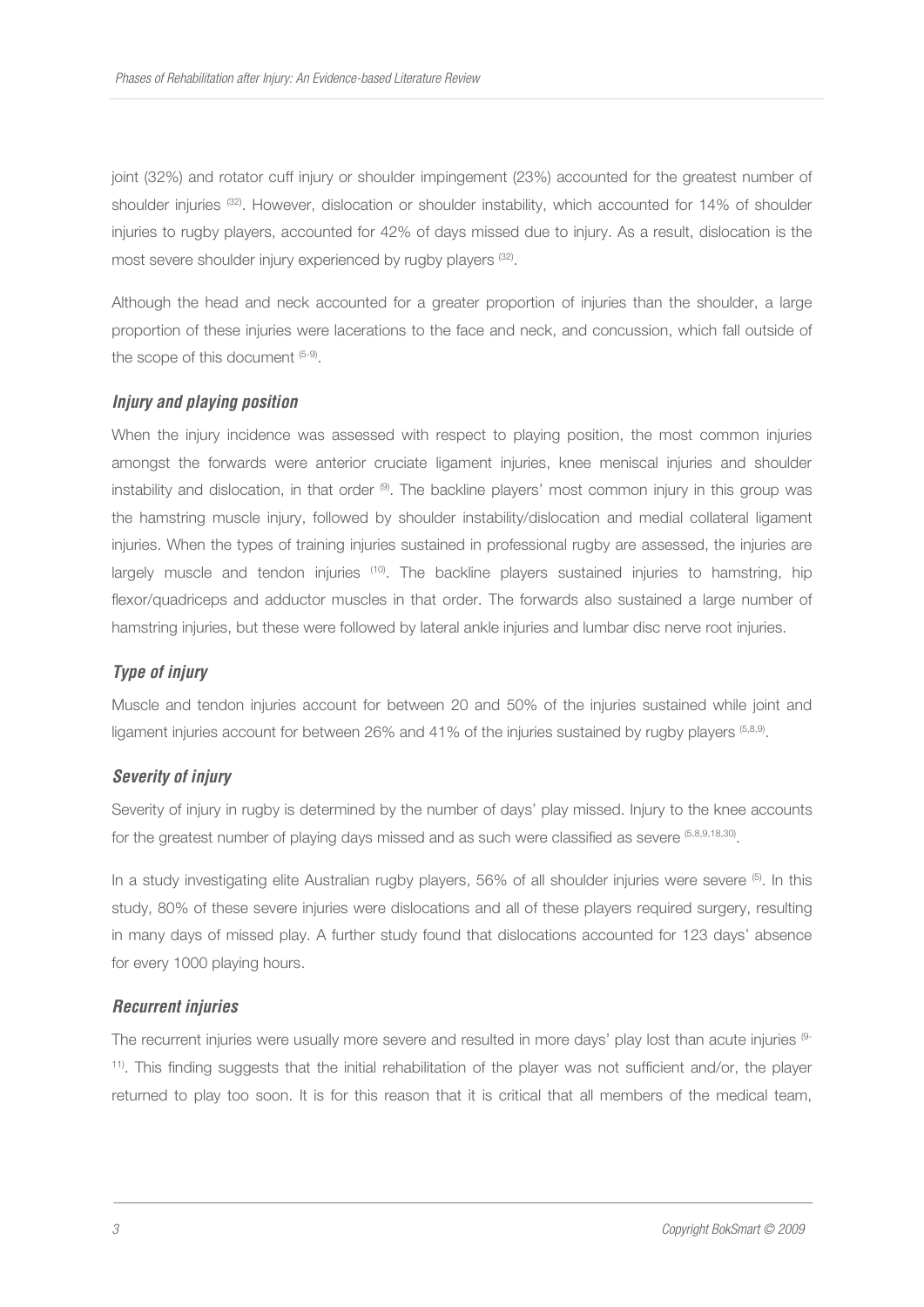joint (32%) and rotator cuff injury or shoulder impingement (23%) accounted for the greatest number of shoulder injuries <sup>(32)</sup>. However, dislocation or shoulder instability, which accounted for 14% of shoulder injuries to rugby players, accounted for 42% of days missed due to injury. As a result, dislocation is the most severe shoulder injury experienced by rugby players <sup>(32)</sup>.

Although the head and neck accounted for a greater proportion of injuries than the shoulder, a large proportion of these injuries were lacerations to the face and neck, and concussion, which fall outside of the scope of this document (5-9).

## *Injury and playing position*

When the injury incidence was assessed with respect to playing position, the most common injuries amongst the forwards were anterior cruciate ligament injuries, knee meniscal injuries and shoulder instability and dislocation, in that order  $\Theta$ . The backline players' most common injury in this group was the hamstring muscle injury, followed by shoulder instability/dislocation and medial collateral ligament injuries. When the types of training injuries sustained in professional rugby are assessed, the injuries are largely muscle and tendon injuries <sup>(10)</sup>. The backline players sustained injuries to hamstring, hip flexor/quadriceps and adductor muscles in that order. The forwards also sustained a large number of hamstring injuries, but these were followed by lateral ankle injuries and lumbar disc nerve root injuries.

## *Type of injury*

Muscle and tendon injuries account for between 20 and 50% of the injuries sustained while joint and ligament injuries account for between 26% and 41% of the injuries sustained by rugby players <sup>(5,8,9)</sup>.

#### *Severity of injury*

Severity of injury in rugby is determined by the number of days' play missed. Injury to the knee accounts for the greatest number of playing days missed and as such were classified as severe (5,8,9,18,30).

In a study investigating elite Australian rugby players, 56% of all shoulder injuries were severe (5). In this study, 80% of these severe injuries were dislocations and all of these players required surgery, resulting in many days of missed play. A further study found that dislocations accounted for 123 days' absence for every 1000 playing hours.

#### *Recurrent injuries*

The recurrent injuries were usually more severe and resulted in more days' play lost than acute injuries <sup>(9-</sup> 11). This finding suggests that the initial rehabilitation of the player was not sufficient and/or, the player returned to play too soon. It is for this reason that it is critical that all members of the medical team,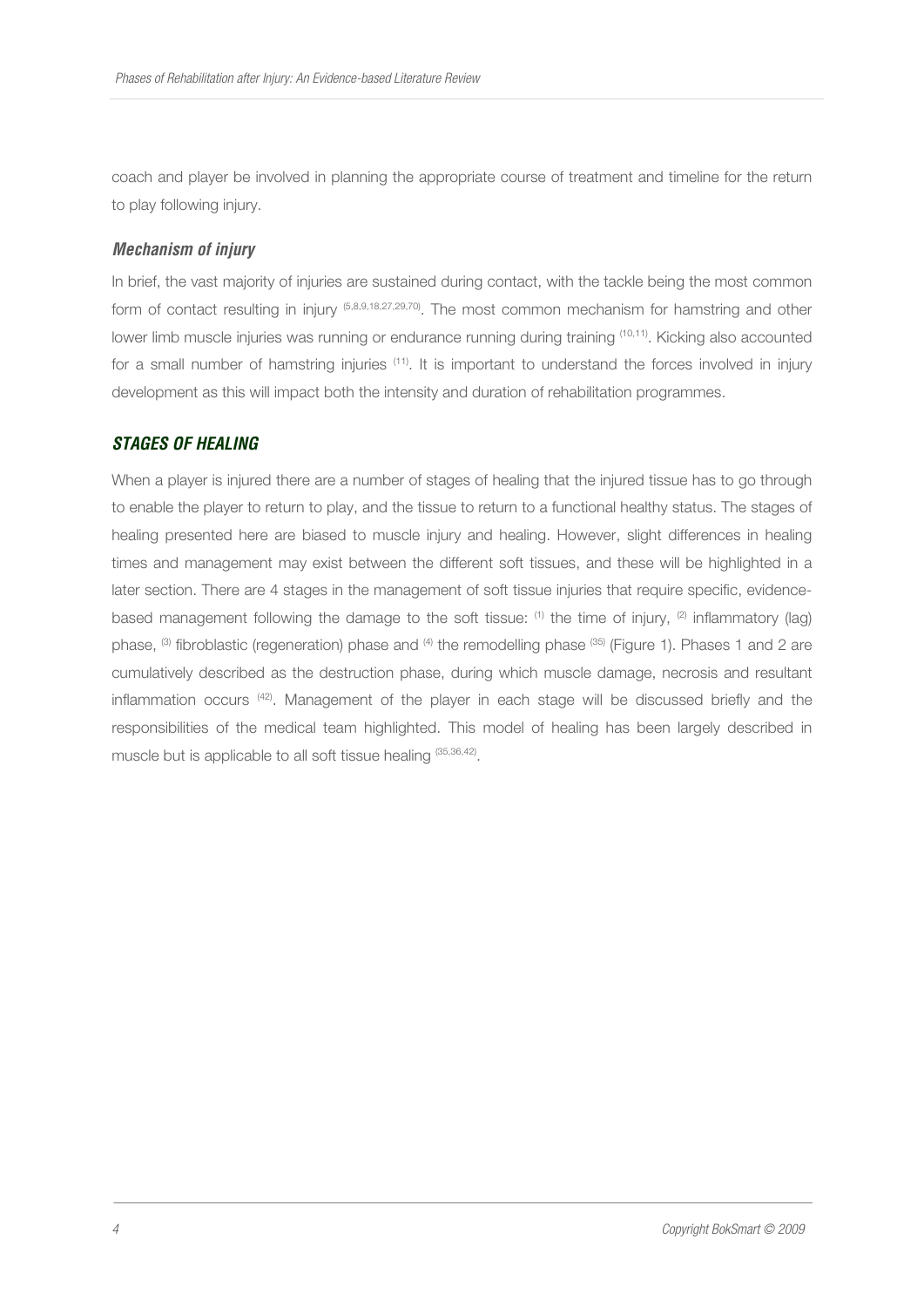coach and player be involved in planning the appropriate course of treatment and timeline for the return to play following injury.

## *Mechanism of injury*

In brief, the vast majority of injuries are sustained during contact, with the tackle being the most common form of contact resulting in injury (5,8,9,18,27,29,70). The most common mechanism for hamstring and other lower limb muscle injuries was running or endurance running during training <sup>(10,11)</sup>. Kicking also accounted for a small number of hamstring injuries (11). It is important to understand the forces involved in injury development as this will impact both the intensity and duration of rehabilitation programmes.

## *STAGES OF HEALING*

When a player is injured there are a number of stages of healing that the injured tissue has to go through to enable the player to return to play, and the tissue to return to a functional healthy status. The stages of healing presented here are biased to muscle injury and healing. However, slight differences in healing times and management may exist between the different soft tissues, and these will be highlighted in a later section. There are 4 stages in the management of soft tissue injuries that require specific, evidencebased management following the damage to the soft tissue:  $(1)$  the time of injury,  $(2)$  inflammatory (lag) phase, <sup>(3)</sup> fibroblastic (regeneration) phase and <sup>(4)</sup> the remodelling phase <sup>(35)</sup> (Figure 1). Phases 1 and 2 are cumulatively described as the destruction phase, during which muscle damage, necrosis and resultant inflammation occurs (42). Management of the player in each stage will be discussed briefly and the responsibilities of the medical team highlighted. This model of healing has been largely described in muscle but is applicable to all soft tissue healing (35,36,42).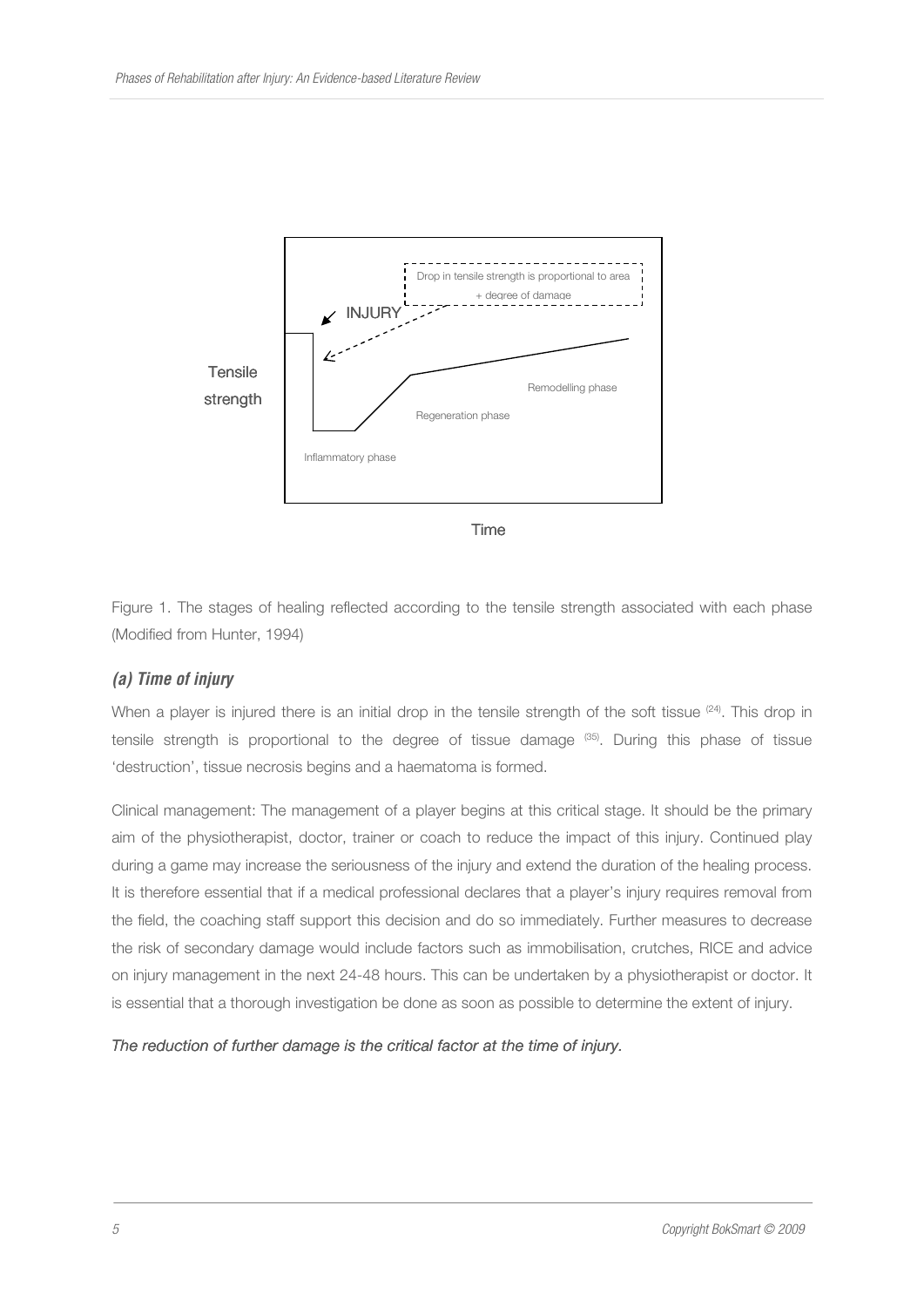

Time

Figure 1. The stages of healing reflected according to the tensile strength associated with each phase (Modified from Hunter, 1994)

## *(a) Time of injury*

When a player is injured there is an initial drop in the tensile strength of the soft tissue  $(24)$ . This drop in tensile strength is proportional to the degree of tissue damage (35). During this phase of tissue 'destruction', tissue necrosis begins and a haematoma is formed.

Clinical management: The management of a player begins at this critical stage. It should be the primary aim of the physiotherapist, doctor, trainer or coach to reduce the impact of this injury. Continued play during a game may increase the seriousness of the injury and extend the duration of the healing process. It is therefore essential that if a medical professional declares that a player's injury requires removal from the field, the coaching staff support this decision and do so immediately. Further measures to decrease the risk of secondary damage would include factors such as immobilisation, crutches, RICE and advice on injury management in the next 24-48 hours. This can be undertaken by a physiotherapist or doctor. It is essential that a thorough investigation be done as soon as possible to determine the extent of injury.

*The reduction of further damage is the critical factor at the time of injury.*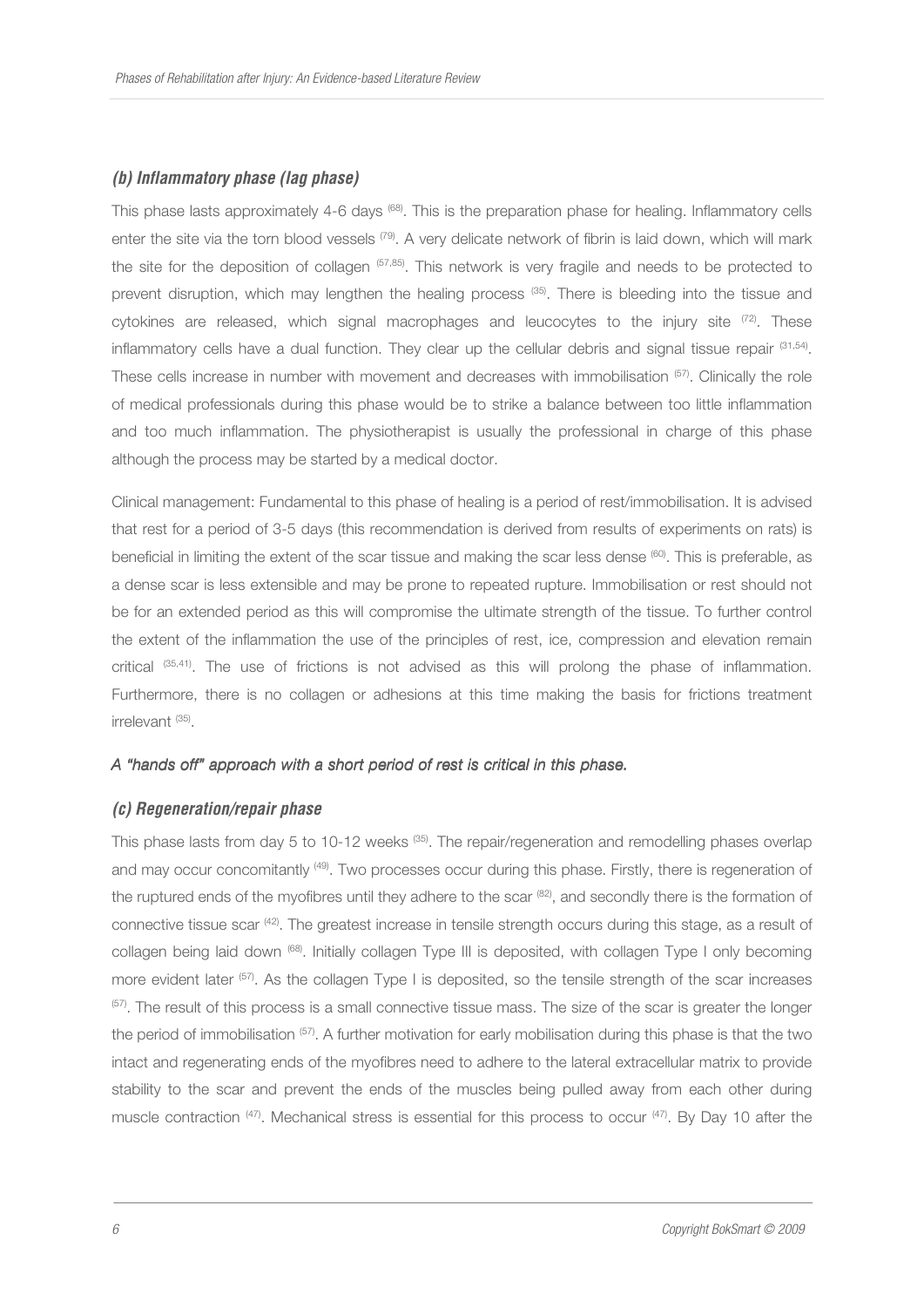#### *(b) Inflammatory phase (lag phase)*

This phase lasts approximately 4-6 days (68). This is the preparation phase for healing. Inflammatory cells enter the site via the torn blood vessels <sup>(79)</sup>. A very delicate network of fibrin is laid down, which will mark the site for the deposition of collagen (57,85). This network is very fragile and needs to be protected to prevent disruption, which may lengthen the healing process<sup>(35)</sup>. There is bleeding into the tissue and cytokines are released, which signal macrophages and leucocytes to the injury site  $(72)$ . These inflammatory cells have a dual function. They clear up the cellular debris and signal tissue repair <sup>(31,54)</sup>. These cells increase in number with movement and decreases with immobilisation (57). Clinically the role of medical professionals during this phase would be to strike a balance between too little inflammation and too much inflammation. The physiotherapist is usually the professional in charge of this phase although the process may be started by a medical doctor.

Clinical management: Fundamental to this phase of healing is a period of rest/immobilisation. It is advised that rest for a period of 3-5 days (this recommendation is derived from results of experiments on rats) is beneficial in limiting the extent of the scar tissue and making the scar less dense  $^{(60)}$ . This is preferable, as a dense scar is less extensible and may be prone to repeated rupture. Immobilisation or rest should not be for an extended period as this will compromise the ultimate strength of the tissue. To further control the extent of the inflammation the use of the principles of rest, ice, compression and elevation remain critical (35,41). The use of frictions is not advised as this will prolong the phase of inflammation. Furthermore, there is no collagen or adhesions at this time making the basis for frictions treatment irrelevant (35) .

#### A "hands off" approach with a short period of rest is critical in this phase.

#### *(c) Regeneration/repair phase*

This phase lasts from day 5 to 10-12 weeks (35). The repair/regeneration and remodelling phases overlap and may occur concomitantly (49). Two processes occur during this phase. Firstly, there is regeneration of the ruptured ends of the myofibres until they adhere to the scar (82), and secondly there is the formation of connective tissue scar (42). The greatest increase in tensile strength occurs during this stage, as a result of collagen being laid down <sup>(68)</sup>. Initially collagen Type III is deposited, with collagen Type I only becoming more evident later <sup>(57)</sup>. As the collagen Type I is deposited, so the tensile strength of the scar increases <sup>(57)</sup>. The result of this process is a small connective tissue mass. The size of the scar is greater the longer the period of immobilisation <sup>(57)</sup>. A further motivation for early mobilisation during this phase is that the two intact and regenerating ends of the myofibres need to adhere to the lateral extracellular matrix to provide stability to the scar and prevent the ends of the muscles being pulled away from each other during muscle contraction <sup>(47)</sup>. Mechanical stress is essential for this process to occur <sup>(47)</sup>. By Day 10 after the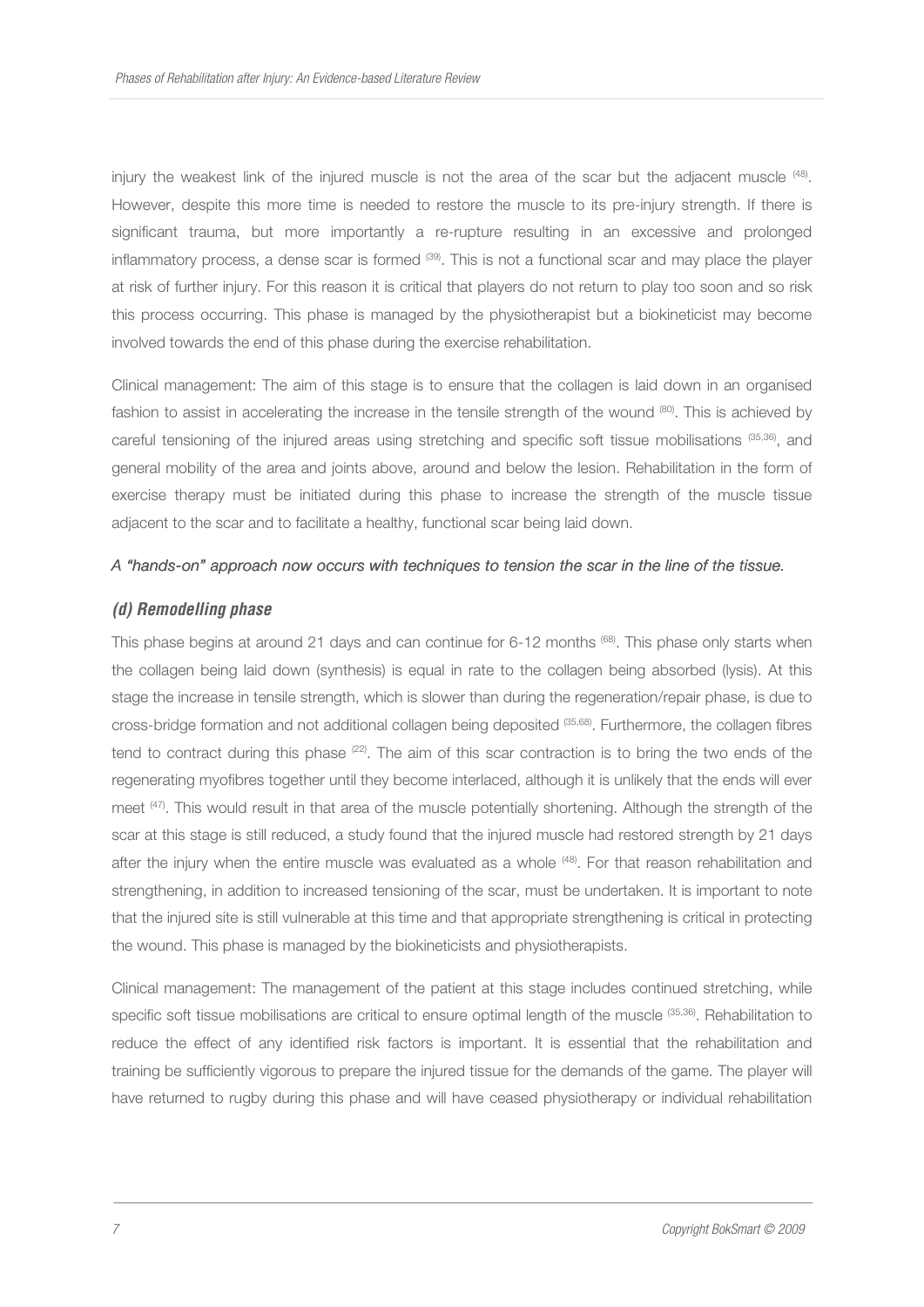injury the weakest link of the injured muscle is not the area of the scar but the adjacent muscle (48). However, despite this more time is needed to restore the muscle to its pre-injury strength. If there is significant trauma, but more importantly a re-rupture resulting in an excessive and prolonged inflammatory process, a dense scar is formed  $^{(39)}$ . This is not a functional scar and may place the player at risk of further injury. For this reason it is critical that players do not return to play too soon and so risk this process occurring. This phase is managed by the physiotherapist but a biokineticist may become involved towards the end of this phase during the exercise rehabilitation.

Clinical management: The aim of this stage is to ensure that the collagen is laid down in an organised fashion to assist in accelerating the increase in the tensile strength of the wound (80). This is achieved by careful tensioning of the injured areas using stretching and specific soft tissue mobilisations (35,36), and general mobility of the area and joints above, around and below the lesion. Rehabilitation in the form of exercise therapy must be initiated during this phase to increase the strength of the muscle tissue adjacent to the scar and to facilitate a healthy, functional scar being laid down.

#### *A "hands- A "hands-on" approach now occurs with techniques to tension on" occurs techniques tensionthe scar in the line of the tissue. the scar in of the tissue.*

## *(d) Remodelling phase*

This phase begins at around 21 days and can continue for 6-12 months  $^{(68)}$ . This phase only starts when the collagen being laid down (synthesis) is equal in rate to the collagen being absorbed (lysis). At this stage the increase in tensile strength, which is slower than during the regeneration/repair phase, is due to cross-bridge formation and not additional collagen being deposited (35,68). Furthermore, the collagen fibres tend to contract during this phase  $(22)$ . The aim of this scar contraction is to bring the two ends of the regenerating myofibres together until they become interlaced, although it is unlikely that the ends will ever meet (47). This would result in that area of the muscle potentially shortening. Although the strength of the scar at this stage is still reduced, a study found that the injured muscle had restored strength by 21 days after the injury when the entire muscle was evaluated as a whole <sup>(48)</sup>. For that reason rehabilitation and strengthening, in addition to increased tensioning of the scar, must be undertaken. It is important to note that the injured site is still vulnerable at this time and that appropriate strengthening is critical in protecting the wound. This phase is managed by the biokineticists and physiotherapists.

Clinical management: The management of the patient at this stage includes continued stretching, while specific soft tissue mobilisations are critical to ensure optimal length of the muscle <sup>(35,36)</sup>. Rehabilitation to reduce the effect of any identified risk factors is important. It is essential that the rehabilitation and training be sufficiently vigorous to prepare the injured tissue for the demands of the game. The player will have returned to rugby during this phase and will have ceased physiotherapy or individual rehabilitation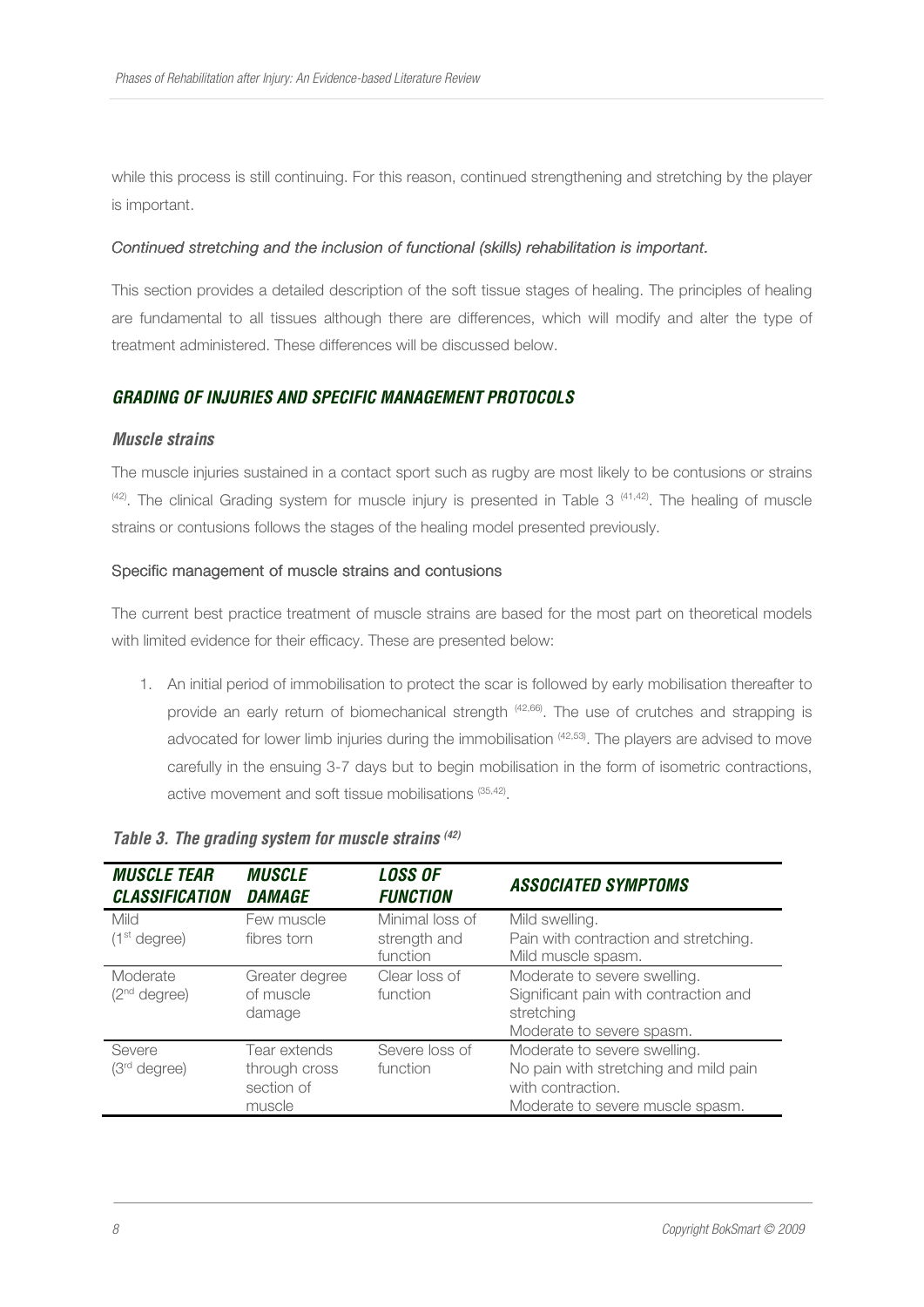while this process is still continuing. For this reason, continued strengthening and stretching by the player is important.

#### *Continued stretching and the inclusion of functional (skills) rehabilitation is important. l rehabilitation important.*

This section provides a detailed description of the soft tissue stages of healing. The principles of healing are fundamental to all tissues although there are differences, which will modify and alter the type of treatment administered. These differences will be discussed below.

## *GRADING OF INJURIES AND SPECIFIC MANAGEMENT PROTOCOLS*

#### *Muscle strains*

The muscle injuries sustained in a contact sport such as rugby are most likely to be contusions or strains  $(42)$ . The clinical Grading system for muscle injury is presented in Table 3  $(41,42)$ . The healing of muscle strains or contusions follows the stages of the healing model presented previously.

#### Specific management of muscle strains and contusions

The current best practice treatment of muscle strains are based for the most part on theoretical models with limited evidence for their efficacy. These are presented below:

1. An initial period of immobilisation to protect the scar is followed by early mobilisation thereafter to provide an early return of biomechanical strength (42,66). The use of crutches and strapping is advocated for lower limb injuries during the immobilisation (42,53). The players are advised to move carefully in the ensuing 3-7 days but to begin mobilisation in the form of isometric contractions, active movement and soft tissue mobilisations (35,42).

| <b>MUSCLE TEAR</b><br><b>CLASSIFICATION</b> | <b>MUSCLE</b><br><b>DAMAGE</b>                        | <b>LOSS OF</b><br><b>FUNCTION</b>           | <b>ASSOCIATED SYMPTOMS</b>                                                                                                     |
|---------------------------------------------|-------------------------------------------------------|---------------------------------------------|--------------------------------------------------------------------------------------------------------------------------------|
| Mild<br>(1 <sup>st</sup> degree)            | Few muscle<br>fibres torn                             | Minimal loss of<br>strength and<br>function | Mild swelling.<br>Pain with contraction and stretching.<br>Mild muscle spasm.                                                  |
| Moderate<br>(2 <sup>nd</sup> degree)        | Greater degree<br>of muscle<br>damage                 | Clear loss of<br>function                   | Moderate to severe swelling.<br>Significant pain with contraction and<br>stretching<br>Moderate to severe spasm.               |
| Severe<br>$(3rd$ degree)                    | Tear extends<br>through cross<br>section of<br>muscle | Severe loss of<br>function                  | Moderate to severe swelling.<br>No pain with stretching and mild pain<br>with contraction.<br>Moderate to severe muscle spasm. |

#### *Table 3. The grading system for muscle strains (42)*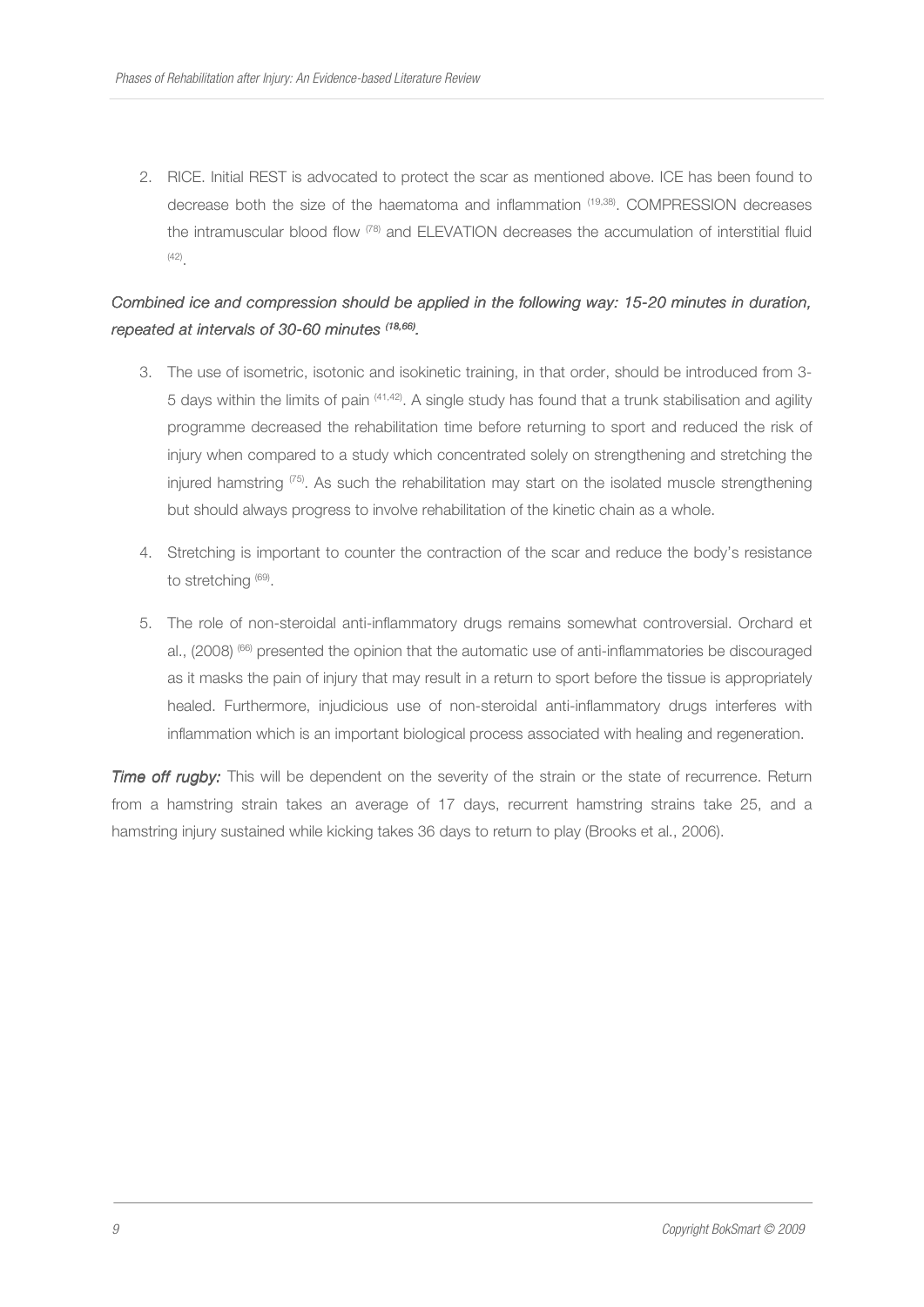2. RICE. Initial REST is advocated to protect the scar as mentioned above. ICE has been found to decrease both the size of the haematoma and inflammation (19,38). COMPRESSION decreases the intramuscular blood flow (78) and ELEVATION decreases the accumulation of interstitial fluid (42) .

## *Combined ice and compression should be applied in the following way: 15-20 minutes in duration, repeated at intervals of 30- intervals 30-60 minutes 60 minutes (18,66) .*

- 3. The use of isometric, isotonic and isokinetic training, in that order, should be introduced from 3- 5 days within the limits of pain (41,42). A single study has found that a trunk stabilisation and agility programme decreased the rehabilitation time before returning to sport and reduced the risk of injury when compared to a study which concentrated solely on strengthening and stretching the injured hamstring  $(75)$ . As such the rehabilitation may start on the isolated muscle strengthening but should always progress to involve rehabilitation of the kinetic chain as a whole.
- 4. Stretching is important to counter the contraction of the scar and reduce the body's resistance to stretching (69).
- 5. The role of non-steroidal anti-inflammatory drugs remains somewhat controversial. Orchard et al., (2008) <sup>(66)</sup> presented the opinion that the automatic use of anti-inflammatories be discouraged as it masks the pain of injury that may result in a return to sport before the tissue is appropriately healed. Furthermore, injudicious use of non-steroidal anti-inflammatory drugs interferes with inflammation which is an important biological process associated with healing and regeneration.

*Time off rugby:* This will be dependent on the severity of the strain or the state of recurrence. Return from a hamstring strain takes an average of 17 days, recurrent hamstring strains take 25, and a hamstring injury sustained while kicking takes 36 days to return to play (Brooks et al., 2006).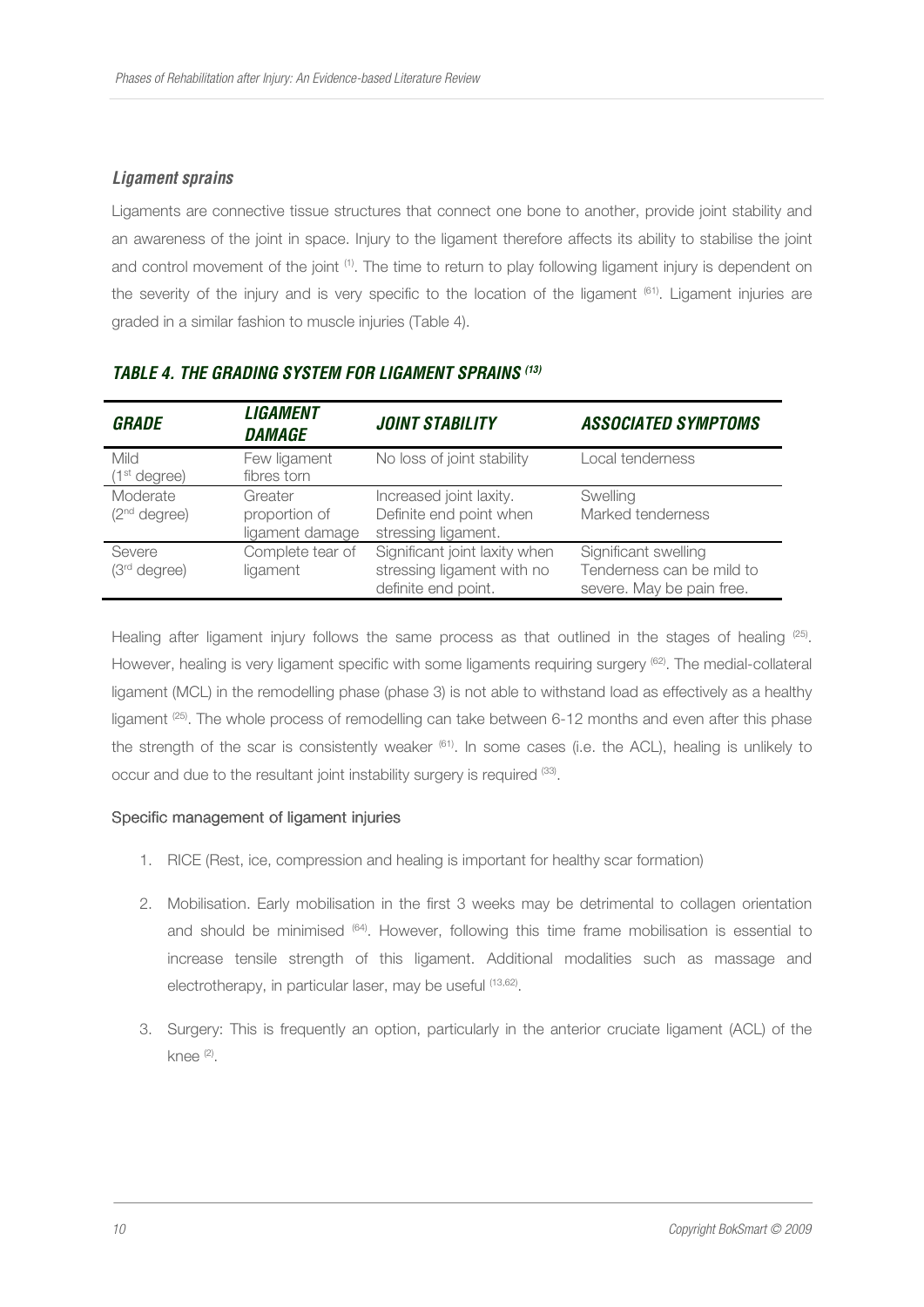## *Ligament sprains*

Ligaments are connective tissue structures that connect one bone to another, provide joint stability and an awareness of the joint in space. Injury to the ligament therefore affects its ability to stabilise the joint and control movement of the joint <sup>(1)</sup>. The time to return to play following ligament injury is dependent on the severity of the injury and is very specific to the location of the ligament (61). Ligament injuries are graded in a similar fashion to muscle injuries (Table 4).

| <b>GRADE</b>                            | <b>LIGAMENT</b><br><b>DAMAGE</b>            | <b>JOINT STABILITY</b>                                                             | <b>ASSOCIATED SYMPTOMS</b>                                                     |
|-----------------------------------------|---------------------------------------------|------------------------------------------------------------------------------------|--------------------------------------------------------------------------------|
| <b>Mild</b><br>(1 <sup>st</sup> degree) | Few ligament<br>fibres torn                 | No loss of joint stability                                                         | Local tenderness                                                               |
| Moderate<br>(2 <sup>nd</sup> degree)    | Greater<br>proportion of<br>ligament damage | Increased joint laxity.<br>Definite end point when<br>stressing ligament.          | Swelling<br>Marked tenderness                                                  |
| Severe<br>$(3rd$ degree)                | Complete tear of<br>ligament                | Significant joint laxity when<br>stressing ligament with no<br>definite end point. | Significant swelling<br>Tenderness can be mild to<br>severe. May be pain free. |

## *TABLE 4. THE GRADING SYSTEM FOR LIGAMENT SPRAINS (13)*

Healing after ligament injury follows the same process as that outlined in the stages of healing  $(25)$ . However, healing is very ligament specific with some ligaments requiring surgery (62). The medial-collateral ligament (MCL) in the remodelling phase (phase 3) is not able to withstand load as effectively as a healthy ligament <sup>(25)</sup>. The whole process of remodelling can take between 6-12 months and even after this phase the strength of the scar is consistently weaker <sup>(61)</sup>. In some cases (i.e. the ACL), healing is unlikely to occur and due to the resultant joint instability surgery is required (33).

## Specific management of ligament injuries

- 1. RICE (Rest, ice, compression and healing is important for healthy scar formation)
- 2. Mobilisation. Early mobilisation in the first 3 weeks may be detrimental to collagen orientation and should be minimised  $(64)$ . However, following this time frame mobilisation is essential to increase tensile strength of this ligament. Additional modalities such as massage and electrotherapy, in particular laser, may be useful (13,62).
- 3. Surgery: This is frequently an option, particularly in the anterior cruciate ligament (ACL) of the knee (2).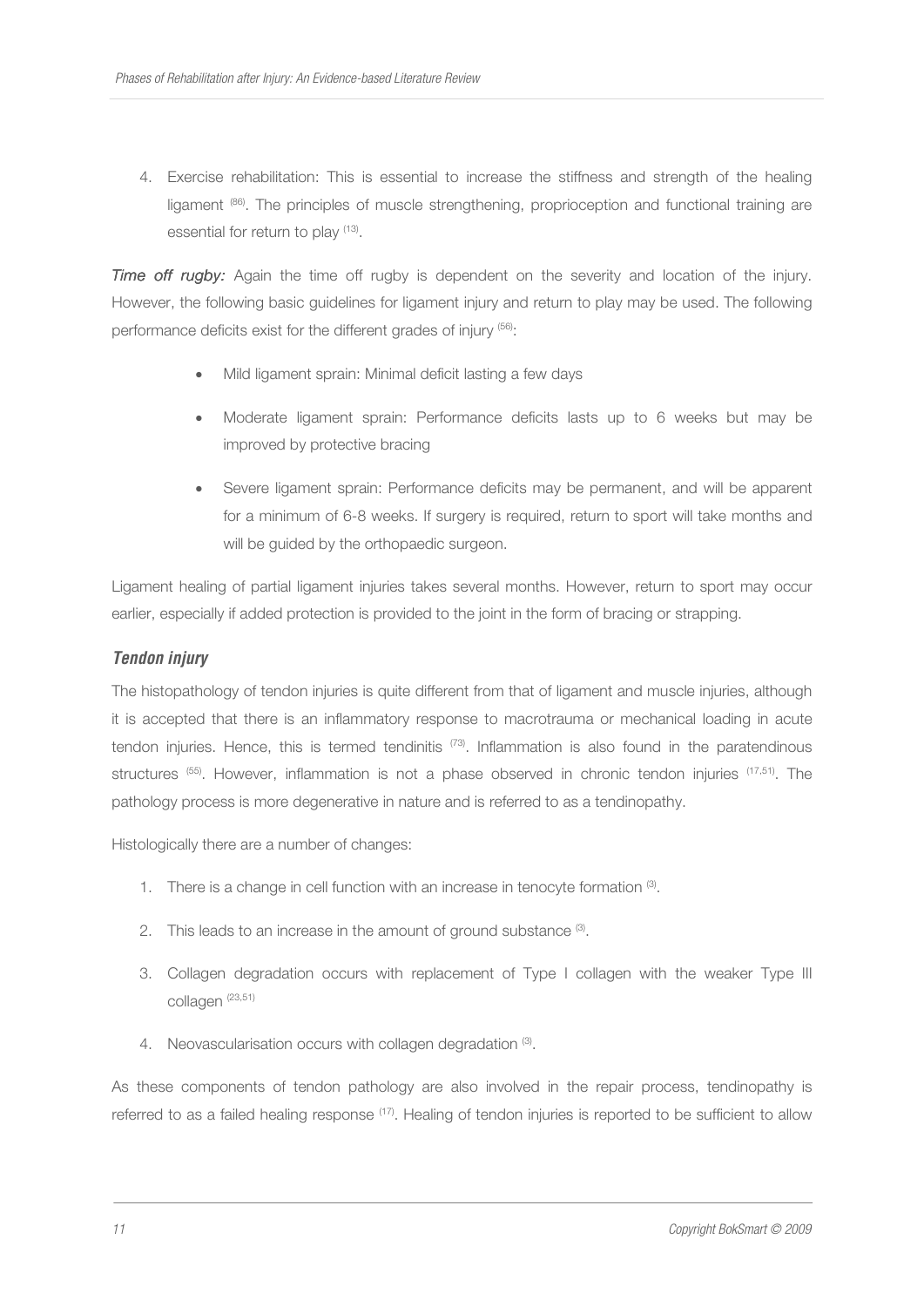4. Exercise rehabilitation: This is essential to increase the stiffness and strength of the healing ligament (86). The principles of muscle strengthening, proprioception and functional training are essential for return to play <sup>(13)</sup>.

*Time off rugby:* Again the time off rugby is dependent on the severity and location of the injury. However, the following basic guidelines for ligament injury and return to play may be used. The following performance deficits exist for the different grades of injury (56):

- Mild ligament sprain: Minimal deficit lasting a few days
- Moderate ligament sprain: Performance deficits lasts up to 6 weeks but may be improved by protective bracing
- Severe ligament sprain: Performance deficits may be permanent, and will be apparent for a minimum of 6-8 weeks. If surgery is required, return to sport will take months and will be quided by the orthopaedic surgeon.

Ligament healing of partial ligament injuries takes several months. However, return to sport may occur earlier, especially if added protection is provided to the joint in the form of bracing or strapping.

## *Tendon injury*

The histopathology of tendon injuries is quite different from that of ligament and muscle injuries, although it is accepted that there is an inflammatory response to macrotrauma or mechanical loading in acute tendon injuries. Hence, this is termed tendinitis (73). Inflammation is also found in the paratendinous structures <sup>(55)</sup>. However, inflammation is not a phase observed in chronic tendon injuries <sup>(17,51)</sup>. The pathology process is more degenerative in nature and is referred to as a tendinopathy.

Histologically there are a number of changes:

- 1. There is a change in cell function with an increase in tenocyte formation  $(3)$ .
- 2. This leads to an increase in the amount of ground substance  $\mathcal{B}$ .
- 3. Collagen degradation occurs with replacement of Type I collagen with the weaker Type III collagen (23,51)
- 4. Neovascularisation occurs with collagen degradation (3).

As these components of tendon pathology are also involved in the repair process, tendinopathy is referred to as a failed healing response (17). Healing of tendon injuries is reported to be sufficient to allow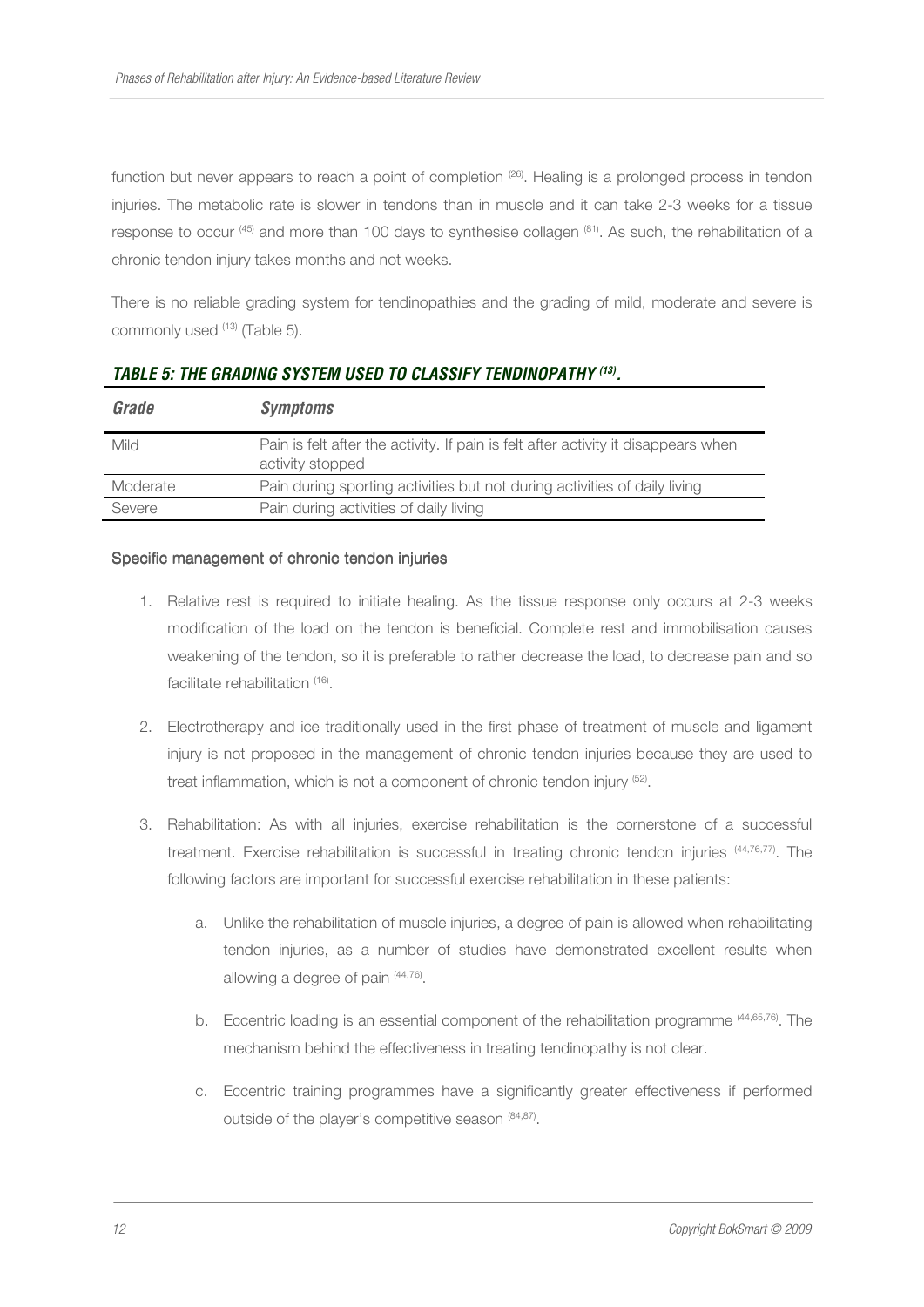function but never appears to reach a point of completion <sup>(26)</sup>. Healing is a prolonged process in tendon injuries. The metabolic rate is slower in tendons than in muscle and it can take 2-3 weeks for a tissue response to occur  $(45)$  and more than 100 days to synthesise collagen  $(81)$ . As such, the rehabilitation of a chronic tendon injury takes months and not weeks.

There is no reliable grading system for tendinopathies and the grading of mild, moderate and severe is commonly used <sup>(13)</sup> (Table 5).

| Grade    | <b>Symptoms</b>                                                                                        |
|----------|--------------------------------------------------------------------------------------------------------|
| Mild     | Pain is felt after the activity. If pain is felt after activity it disappears when<br>activity stopped |
| Moderate | Pain during sporting activities but not during activities of daily living                              |
| Severe   | Pain during activities of daily living                                                                 |

## *TABLE 5: THE GRADING SYSTEM USED TO CLASSIFY TENDINOPATHY (13) .*

#### Specific management of chronic tendon injuries

- 1. Relative rest is required to initiate healing. As the tissue response only occurs at 2-3 weeks modification of the load on the tendon is beneficial. Complete rest and immobilisation causes weakening of the tendon, so it is preferable to rather decrease the load, to decrease pain and so facilitate rehabilitation (16).
- 2. Electrotherapy and ice traditionally used in the first phase of treatment of muscle and ligament injury is not proposed in the management of chronic tendon injuries because they are used to treat inflammation, which is not a component of chronic tendon injury <sup>(52)</sup>.
- 3. Rehabilitation: As with all injuries, exercise rehabilitation is the cornerstone of a successful treatment. Exercise rehabilitation is successful in treating chronic tendon injuries (44,76,77). The following factors are important for successful exercise rehabilitation in these patients:
	- a. Unlike the rehabilitation of muscle injuries, a degree of pain is allowed when rehabilitating tendon injuries, as a number of studies have demonstrated excellent results when allowing a degree of pain (44,76).
	- b. Eccentric loading is an essential component of the rehabilitation programme (44,65,76). The mechanism behind the effectiveness in treating tendinopathy is not clear.
	- c. Eccentric training programmes have a significantly greater effectiveness if performed outside of the player's competitive season (84,87).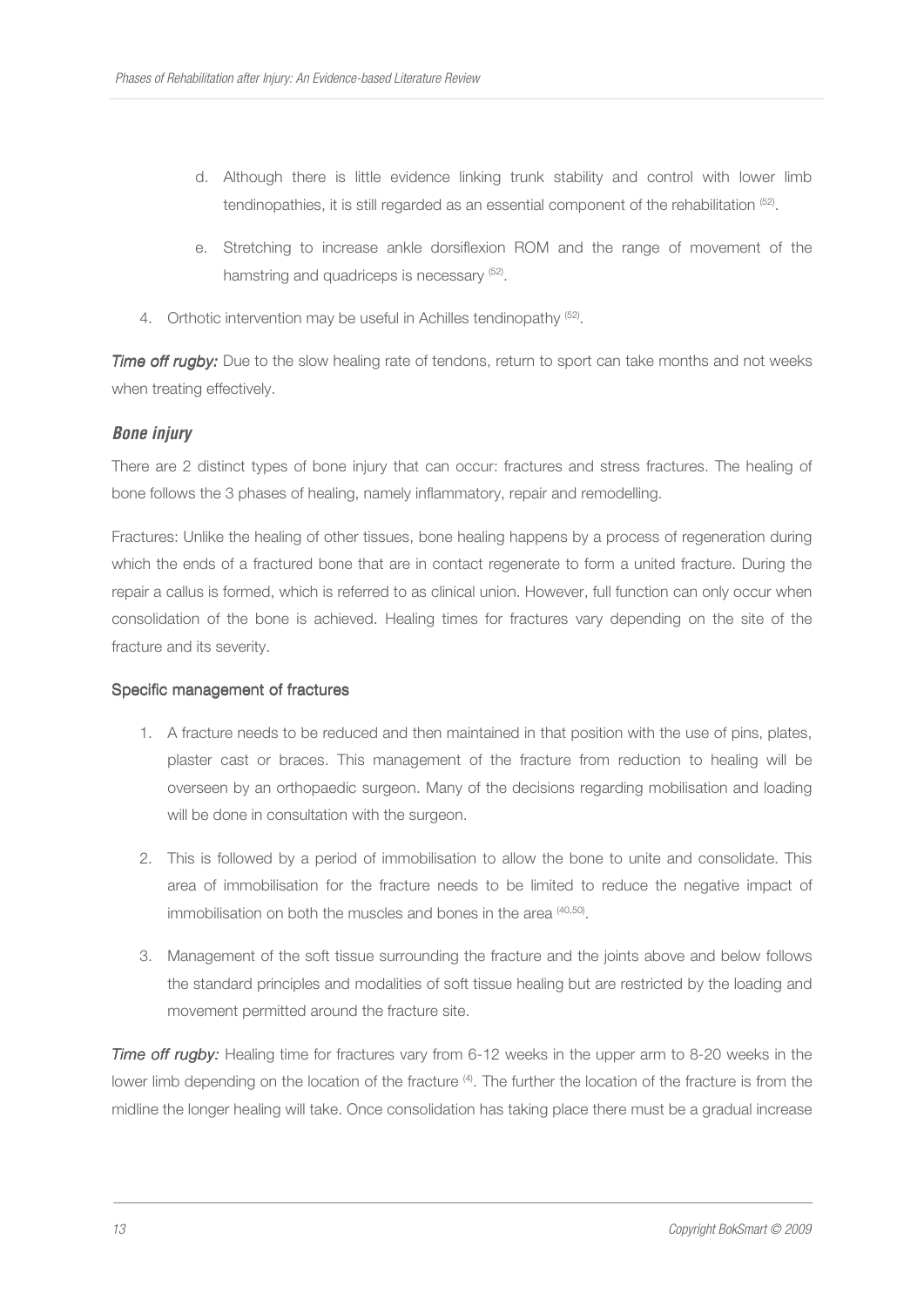- d. Although there is little evidence linking trunk stability and control with lower limb tendinopathies, it is still regarded as an essential component of the rehabilitation (52).
- e. Stretching to increase ankle dorsiflexion ROM and the range of movement of the hamstring and quadriceps is necessary (52).
- 4. Orthotic intervention may be useful in Achilles tendinopathy <sup>(52)</sup>.

*Time off rugby:* Due to the slow healing rate of tendons, return to sport can take months and not weeks when treating effectively.

## *Bone injury*

There are 2 distinct types of bone injury that can occur: fractures and stress fractures. The healing of bone follows the 3 phases of healing, namely inflammatory, repair and remodelling.

Fractures: Unlike the healing of other tissues, bone healing happens by a process of regeneration during which the ends of a fractured bone that are in contact regenerate to form a united fracture. During the repair a callus is formed, which is referred to as clinical union. However, full function can only occur when consolidation of the bone is achieved. Healing times for fractures vary depending on the site of the fracture and its severity.

## Specific management of fractures

- 1. A fracture needs to be reduced and then maintained in that position with the use of pins, plates, plaster cast or braces. This management of the fracture from reduction to healing will be overseen by an orthopaedic surgeon. Many of the decisions regarding mobilisation and loading will be done in consultation with the surgeon.
- 2. This is followed by a period of immobilisation to allow the bone to unite and consolidate. This area of immobilisation for the fracture needs to be limited to reduce the negative impact of immobilisation on both the muscles and bones in the area  $(40,50)$ .
- 3. Management of the soft tissue surrounding the fracture and the joints above and below follows the standard principles and modalities of soft tissue healing but are restricted by the loading and movement permitted around the fracture site.

**Time off rugby:** Healing time for fractures vary from 6-12 weeks in the upper arm to 8-20 weeks in the lower limb depending on the location of the fracture (4). The further the location of the fracture is from the midline the longer healing will take. Once consolidation has taking place there must be a gradual increase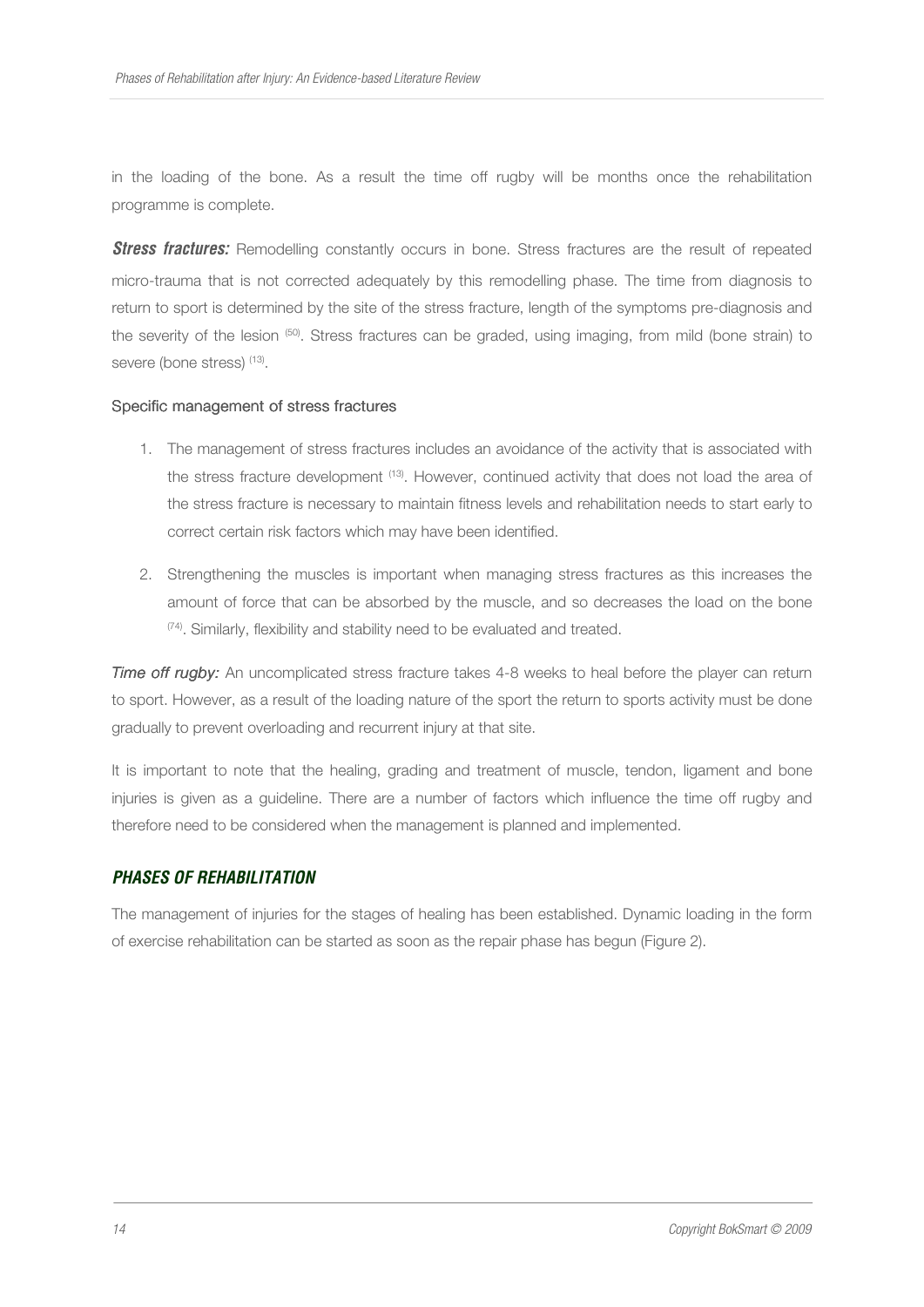in the loading of the bone. As a result the time off rugby will be months once the rehabilitation programme is complete.

**Stress fractures:** Remodelling constantly occurs in bone. Stress fractures are the result of repeated micro-trauma that is not corrected adequately by this remodelling phase. The time from diagnosis to return to sport is determined by the site of the stress fracture, length of the symptoms pre-diagnosis and the severity of the lesion (50). Stress fractures can be graded, using imaging, from mild (bone strain) to severe (bone stress) (13).

#### Specific management of stress fractures

- 1. The management of stress fractures includes an avoidance of the activity that is associated with the stress fracture development <sup>(13)</sup>. However, continued activity that does not load the area of the stress fracture is necessary to maintain fitness levels and rehabilitation needs to start early to correct certain risk factors which may have been identified.
- 2. Strengthening the muscles is important when managing stress fractures as this increases the amount of force that can be absorbed by the muscle, and so decreases the load on the bone (74). Similarly, flexibility and stability need to be evaluated and treated.

*Time off rugby:* An uncomplicated stress fracture takes 4-8 weeks to heal before the player can return to sport. However, as a result of the loading nature of the sport the return to sports activity must be done gradually to prevent overloading and recurrent injury at that site.

It is important to note that the healing, grading and treatment of muscle, tendon, ligament and bone injuries is given as a guideline. There are a number of factors which influence the time off rugby and therefore need to be considered when the management is planned and implemented.

#### *PHASES OF REHABILITATION*

The management of injuries for the stages of healing has been established. Dynamic loading in the form of exercise rehabilitation can be started as soon as the repair phase has begun (Figure 2).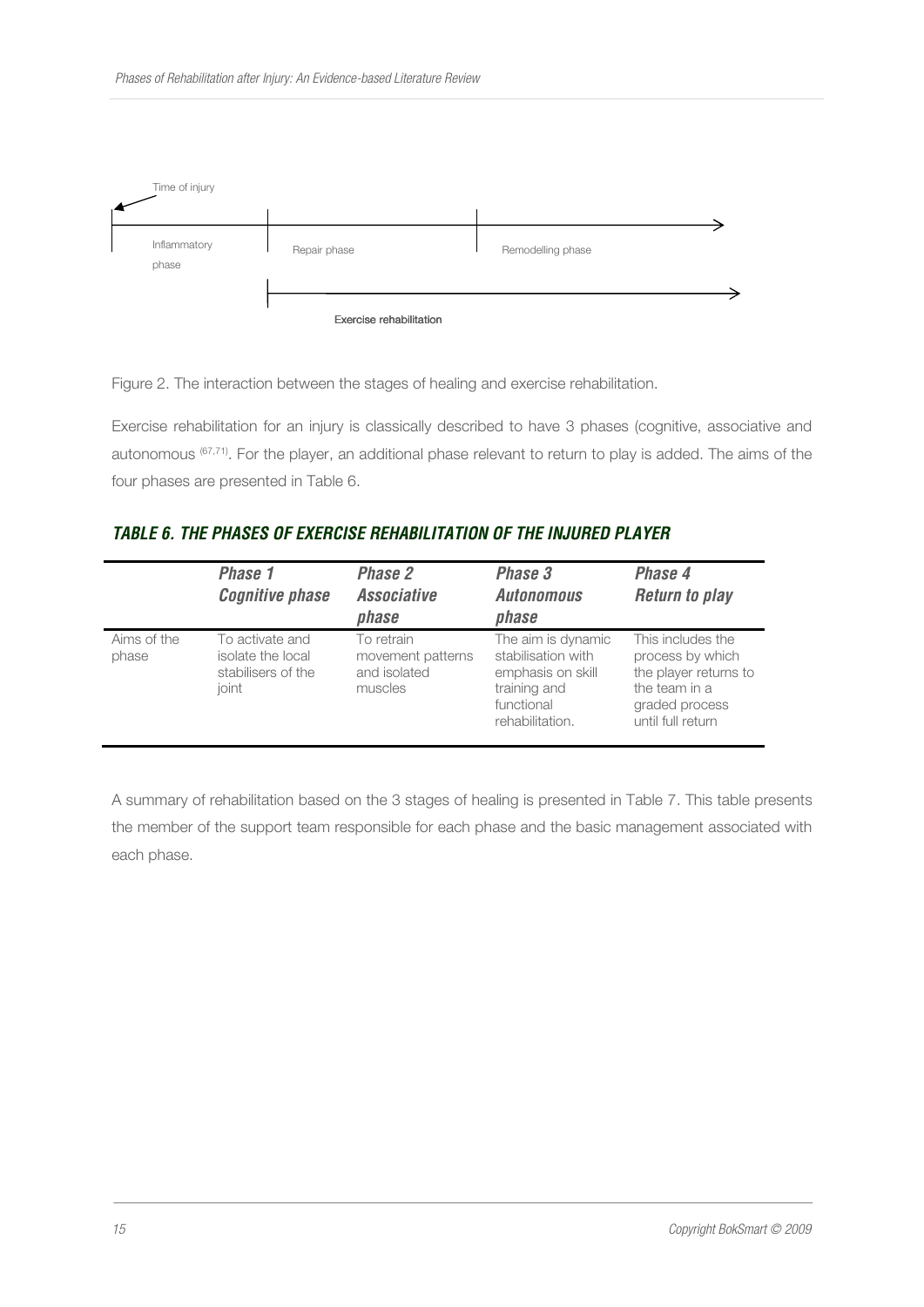

Figure 2. The interaction between the stages of healing and exercise rehabilitation.

Exercise rehabilitation for an injury is classically described to have 3 phases (cognitive, associative and autonomous (67,71). For the player, an additional phase relevant to return to play is added. The aims of the four phases are presented in Table 6.

## *TABLE 6. THE PHASES OF EXERCISE REHABILITATION OF THE INJURED PLAYER*

|                      | Phase 1<br><b>Cognitive phase</b>                                   | Phase 2<br><b>Associative</b><br>phase                     | Phase 3<br><b>Autonomous</b><br>phase                                                                          | Phase 4<br><b>Return to play</b>                                                                                       |
|----------------------|---------------------------------------------------------------------|------------------------------------------------------------|----------------------------------------------------------------------------------------------------------------|------------------------------------------------------------------------------------------------------------------------|
| Aims of the<br>phase | To activate and<br>isolate the local<br>stabilisers of the<br>ioint | To retrain<br>movement patterns<br>and isolated<br>muscles | The aim is dynamic<br>stabilisation with<br>emphasis on skill<br>training and<br>functional<br>rehabilitation. | This includes the<br>process by which<br>the player returns to<br>the team in a<br>graded process<br>until full return |

A summary of rehabilitation based on the 3 stages of healing is presented in Table 7. This table presents the member of the support team responsible for each phase and the basic management associated with each phase.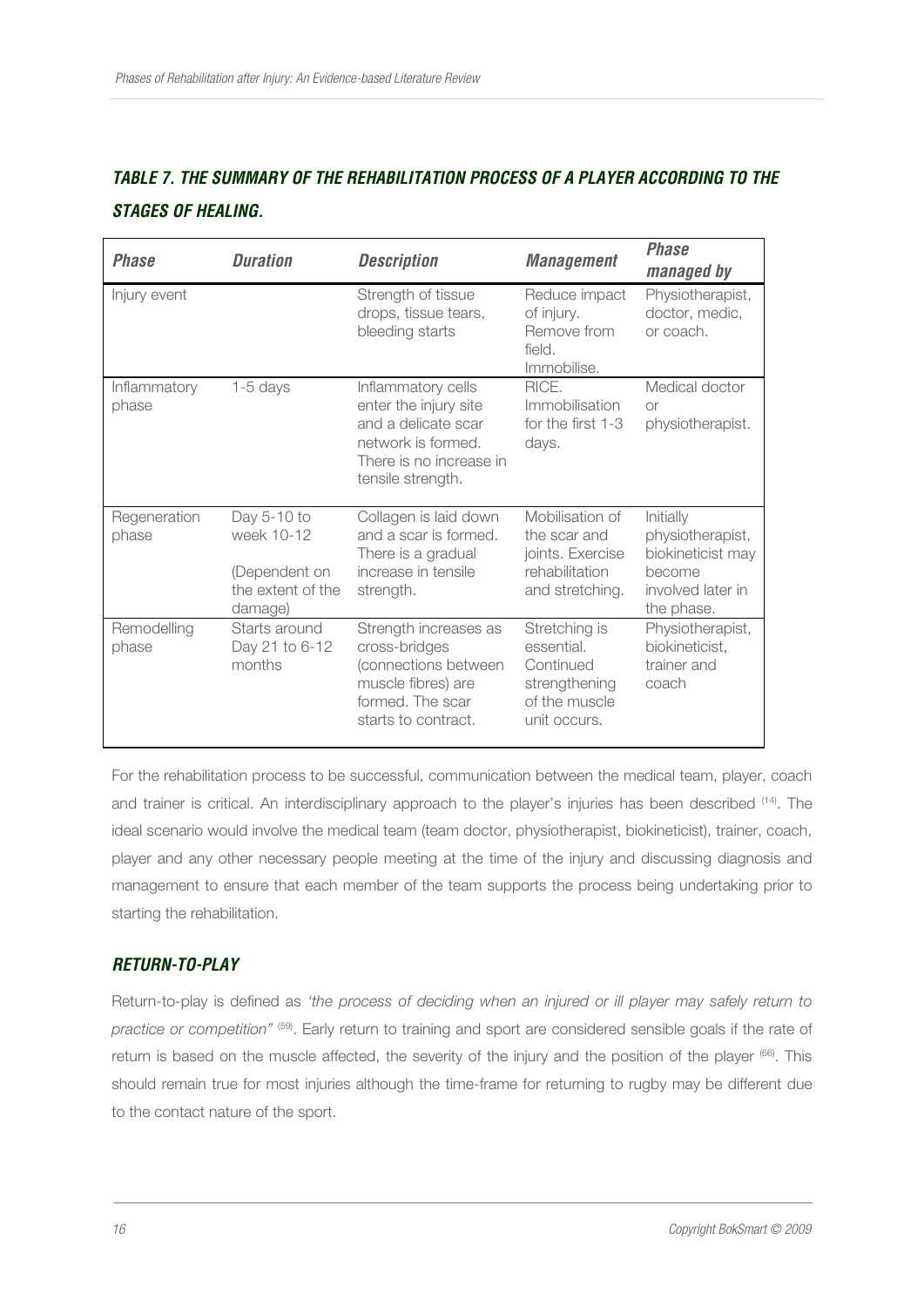## *TABLE 7. THE SUMMARY OF THE REHABILITATION PROCESS OF A PLAYER ACCORDING TO THE STAGES OF HEALING.*

| <b>Phase</b>          | <b>Duration</b>                                                            | <b>Description</b>                                                                                                                       | <b>Management</b>                                                                          | <b>Phase</b><br>managed by                                                                      |
|-----------------------|----------------------------------------------------------------------------|------------------------------------------------------------------------------------------------------------------------------------------|--------------------------------------------------------------------------------------------|-------------------------------------------------------------------------------------------------|
| Injury event          |                                                                            | Strength of tissue<br>drops, tissue tears,<br>bleeding starts                                                                            | Reduce impact<br>of injury.<br>Remove from<br>field.<br>Immobilise.                        | Physiotherapist,<br>doctor, medic,<br>or coach.                                                 |
| Inflammatory<br>phase | $1-5$ days                                                                 | Inflammatory cells<br>enter the injury site<br>and a delicate scar<br>network is formed.<br>There is no increase in<br>tensile strength. | RICE.<br>Immobilisation<br>for the first 1-3<br>days.                                      | Medical doctor<br><b>Or</b><br>physiotherapist.                                                 |
| Regeneration<br>phase | Day 5-10 to<br>week 10-12<br>(Dependent on<br>the extent of the<br>damage) | Collagen is laid down<br>and a scar is formed.<br>There is a gradual<br>increase in tensile<br>strength.                                 | Mobilisation of<br>the scar and<br>joints. Exercise<br>rehabilitation<br>and stretching.   | Initially<br>physiotherapist,<br>biokineticist may<br>become<br>involved later in<br>the phase. |
| Remodelling<br>phase  | Starts around<br>Day 21 to 6-12<br>months                                  | Strength increases as<br>cross-bridges<br>(connections between<br>muscle fibres) are<br>formed. The scar<br>starts to contract.          | Stretching is<br>essential.<br>Continued<br>strengthening<br>of the muscle<br>unit occurs. | Physiotherapist,<br>biokineticist,<br>trainer and<br>coach                                      |

For the rehabilitation process to be successful, communication between the medical team, player, coach and trainer is critical. An interdisciplinary approach to the player's injuries has been described (14). The ideal scenario would involve the medical team (team doctor, physiotherapist, biokineticist), trainer, coach, player and any other necessary people meeting at the time of the injury and discussing diagnosis and management to ensure that each member of the team supports the process being undertaking prior to starting the rehabilitation.

## *RETURN-TO-PLAY*

Return-to-play is defined as *'the process of deciding when an injured or ill player may safely return to practice or competition"* (59). Early return to training and sport are considered sensible goals if the rate of return is based on the muscle affected, the severity of the injury and the position of the player (66). This should remain true for most injuries although the time-frame for returning to rugby may be different due to the contact nature of the sport.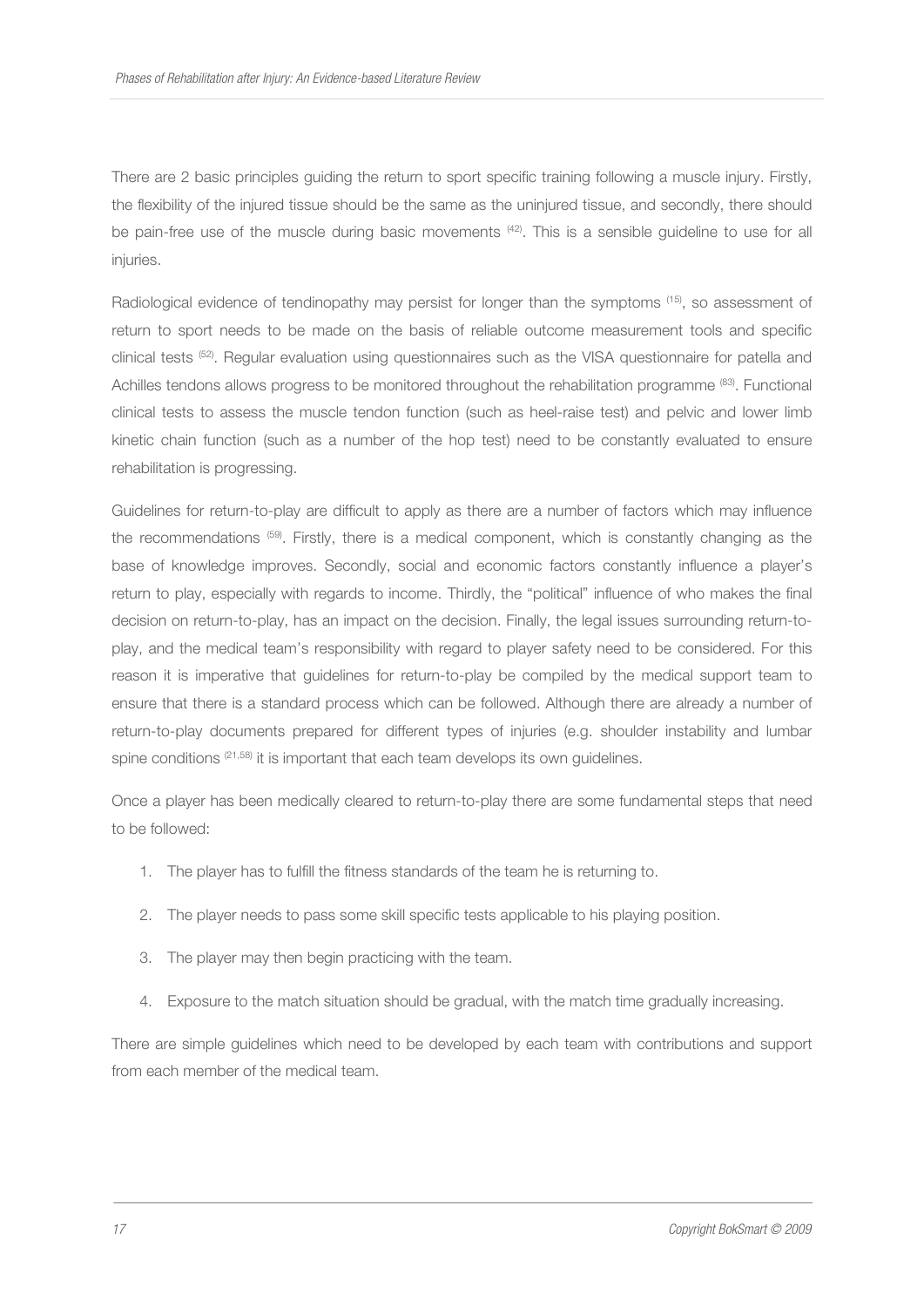There are 2 basic principles guiding the return to sport specific training following a muscle injury. Firstly, the flexibility of the injured tissue should be the same as the uninjured tissue, and secondly, there should be pain-free use of the muscle during basic movements  $^{(42)}$ . This is a sensible quideline to use for all injuries.

Radiological evidence of tendinopathy may persist for longer than the symptoms <sup>(15)</sup>, so assessment of return to sport needs to be made on the basis of reliable outcome measurement tools and specific clinical tests (52). Regular evaluation using questionnaires such as the VISA questionnaire for patella and Achilles tendons allows progress to be monitored throughout the rehabilitation programme (83). Functional clinical tests to assess the muscle tendon function (such as heel-raise test) and pelvic and lower limb kinetic chain function (such as a number of the hop test) need to be constantly evaluated to ensure rehabilitation is progressing.

Guidelines for return-to-play are difficult to apply as there are a number of factors which may influence the recommendations <sup>(59)</sup>. Firstly, there is a medical component, which is constantly changing as the base of knowledge improves. Secondly, social and economic factors constantly influence a player's return to play, especially with regards to income. Thirdly, the "political" influence of who makes the final decision on return-to-play, has an impact on the decision. Finally, the legal issues surrounding return-toplay, and the medical team's responsibility with regard to player safety need to be considered. For this reason it is imperative that guidelines for return-to-play be compiled by the medical support team to ensure that there is a standard process which can be followed. Although there are already a number of return-to-play documents prepared for different types of injuries (e.g. shoulder instability and lumbar spine conditions  $(21,58)$  it is important that each team develops its own quidelines.

Once a player has been medically cleared to return-to-play there are some fundamental steps that need to be followed:

- 1. The player has to fulfill the fitness standards of the team he is returning to.
- 2. The player needs to pass some skill specific tests applicable to his playing position.
- 3. The player may then begin practicing with the team.
- 4. Exposure to the match situation should be gradual, with the match time gradually increasing.

There are simple guidelines which need to be developed by each team with contributions and support from each member of the medical team.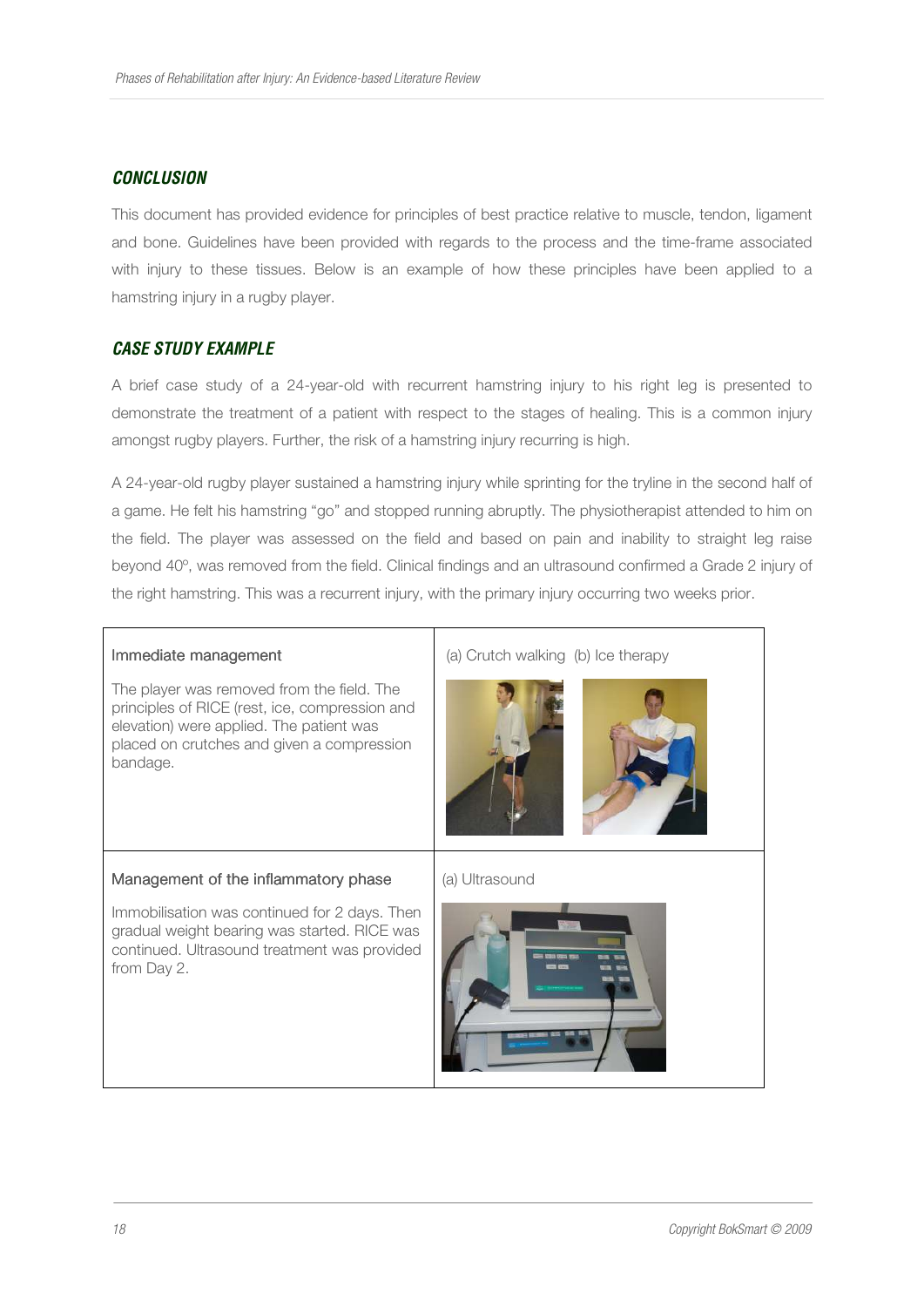## *CONCLUSION*

This document has provided evidence for principles of best practice relative to muscle, tendon, ligament and bone. Guidelines have been provided with regards to the process and the time-frame associated with injury to these tissues. Below is an example of how these principles have been applied to a hamstring injury in a rugby player.

## *CASE STUDY EXAMPLE*

A brief case study of a 24-year-old with recurrent hamstring injury to his right leg is presented to demonstrate the treatment of a patient with respect to the stages of healing. This is a common injury amongst rugby players. Further, the risk of a hamstring injury recurring is high.

A 24-year-old rugby player sustained a hamstring injury while sprinting for the tryline in the second half of a game. He felt his hamstring "go" and stopped running abruptly. The physiotherapist attended to him on the field. The player was assessed on the field and based on pain and inability to straight leg raise beyond 40º, was removed from the field. Clinical findings and an ultrasound confirmed a Grade 2 injury of the right hamstring. This was a recurrent injury, with the primary injury occurring two weeks prior.

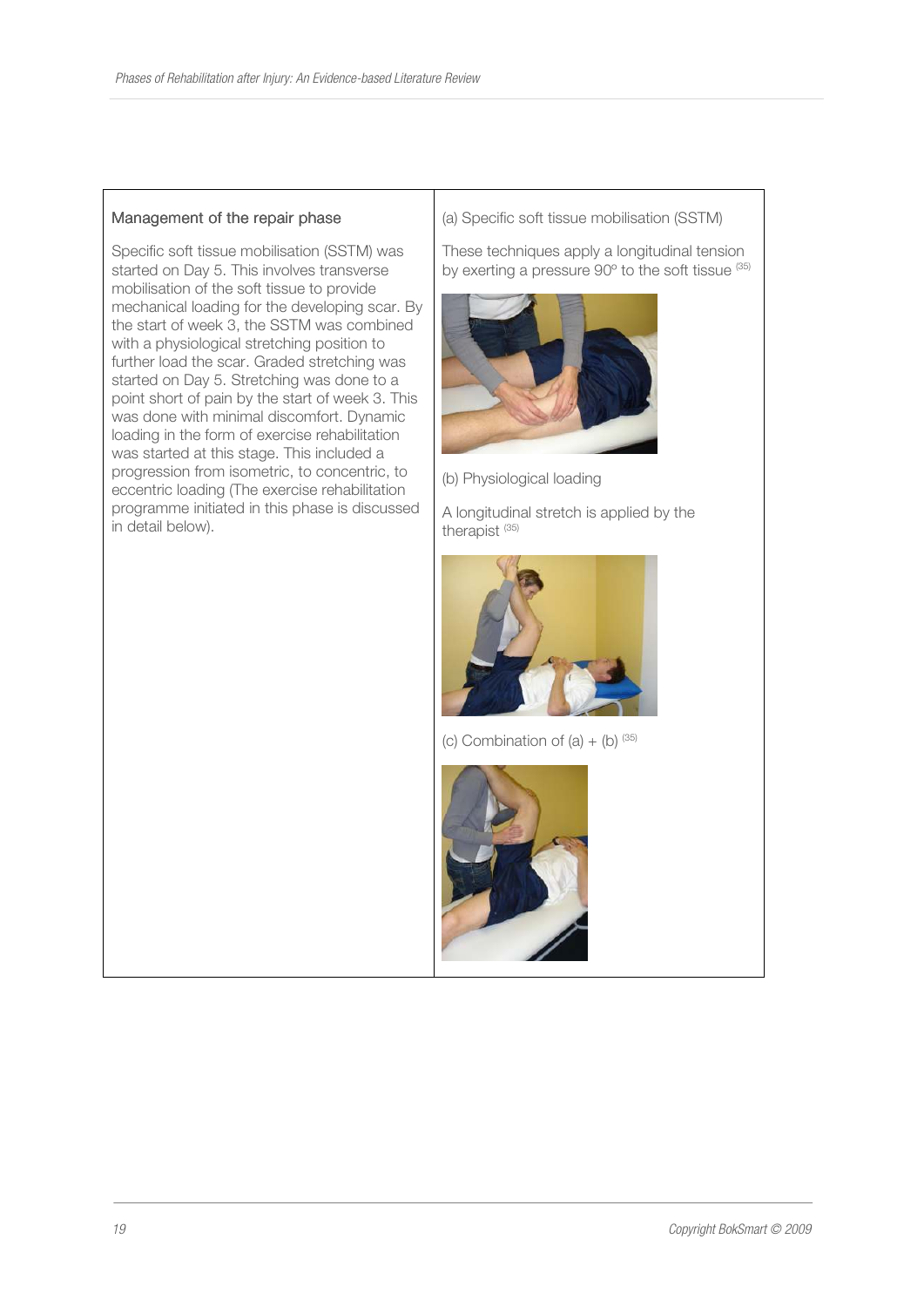#### Management of the repair phase

Specific soft tissue mobilisation (SSTM) was started on Day 5. This involves transverse mobilisation of the soft tissue to provide mechanical loading for the developing scar. By the start of week 3, the SSTM was combined with a physiological stretching position to further load the scar. Graded stretching was started on Day 5. Stretching was done to a point short of pain by the start of week 3. This was done with minimal discomfort. Dynamic loading in the form of exercise rehabilitation was started at this stage. This included a progression from isometric, to concentric, to eccentric loading (The exercise rehabilitation programme initiated in this phase is discussed in detail below).

(a) Specific soft tissue mobilisation (SSTM)

These techniques apply a longitudinal tension by exerting a pressure 90° to the soft tissue (35)



(b) Physiological loading

A longitudinal stretch is applied by the therapist (35)



(c) Combination of  $(a) + (b)$   $(35)$ 

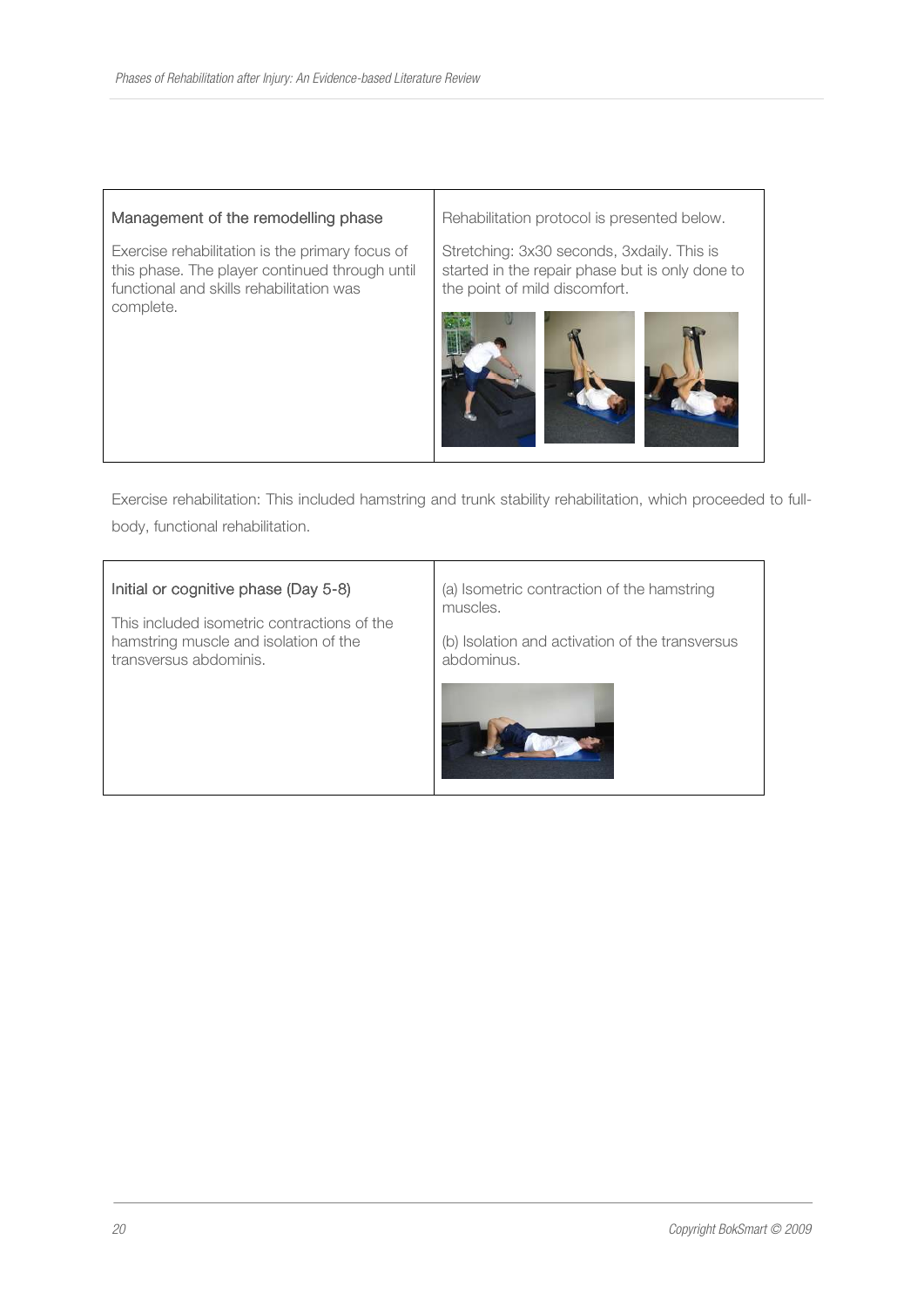#### Management of the remodelling phase

Exercise rehabilitation is the primary focus of this phase. The player continued through until functional and skills rehabilitation was complete.

Rehabilitation protocol is presented below.

Stretching: 3x30 seconds, 3xdaily. This is started in the repair phase but is only done to the point of mild discomfort.



Exercise rehabilitation: This included hamstring and trunk stability rehabilitation, which proceeded to fullbody, functional rehabilitation.

#### Initial or cognitive phase (Day 5-8)

This included isometric contractions of the hamstring muscle and isolation of the transversus abdominis.

(a) Isometric contraction of the hamstring muscles.

(b) Isolation and activation of the transversus abdominus.

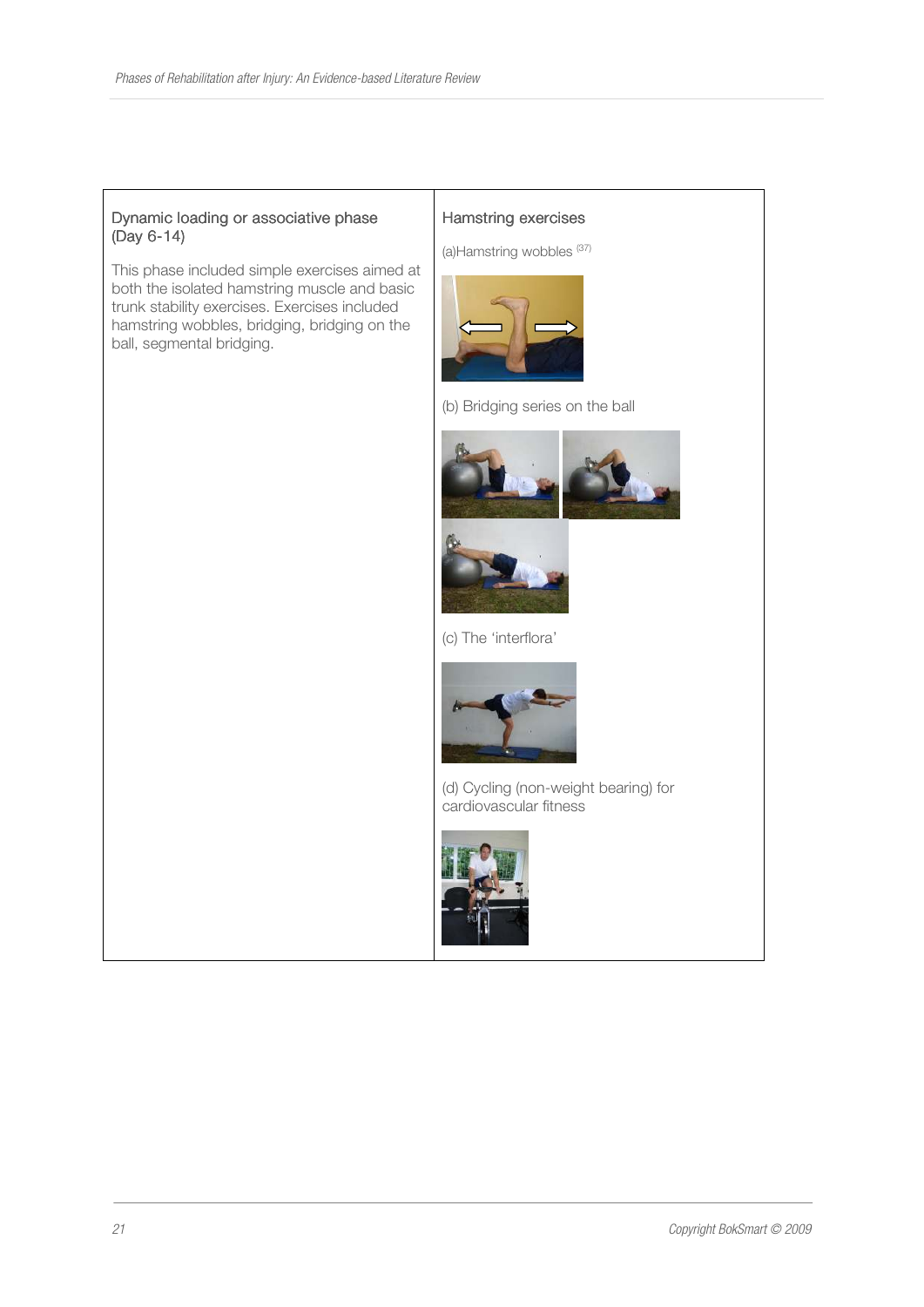#### Dynamic loading or associative phase (Day 6-14)

This phase included simple exercises aimed at both the isolated hamstring muscle and basic trunk stability exercises. Exercises included hamstring wobbles, bridging, bridging on the ball, segmental bridging.

#### Hamstring exercises

(a)Hamstring wobbles (37)



(b) Bridging series on the ball





(c) The 'interflora'



(d) Cycling (non-weight bearing) for cardiovascular fitness

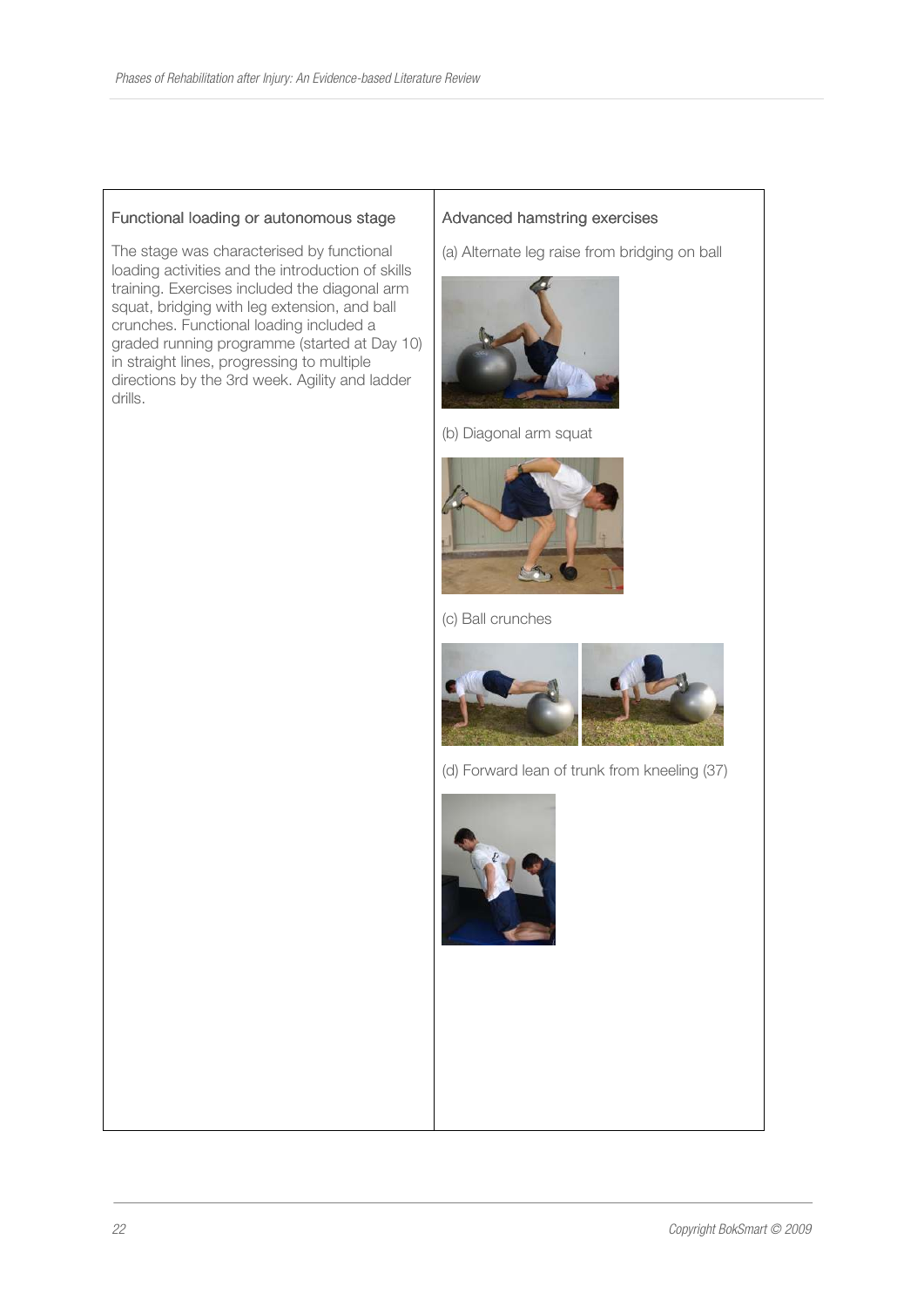#### Functional loading or autonomous stage

The stage was characterised by functional loading activities and the introduction of skills training. Exercises included the diagonal arm squat, bridging with leg extension, and ball crunches. Functional loading included a graded running programme (started at Day 10) in straight lines, progressing to multiple directions by the 3rd week. Agility and ladder drills.

#### Advanced hamstring exercises

(a) Alternate leg raise from bridging on ball



(b) Diagonal arm squat



(c) Ball crunches



(d) Forward lean of trunk from kneeling (37)



22 Copyright BokSmart © 2009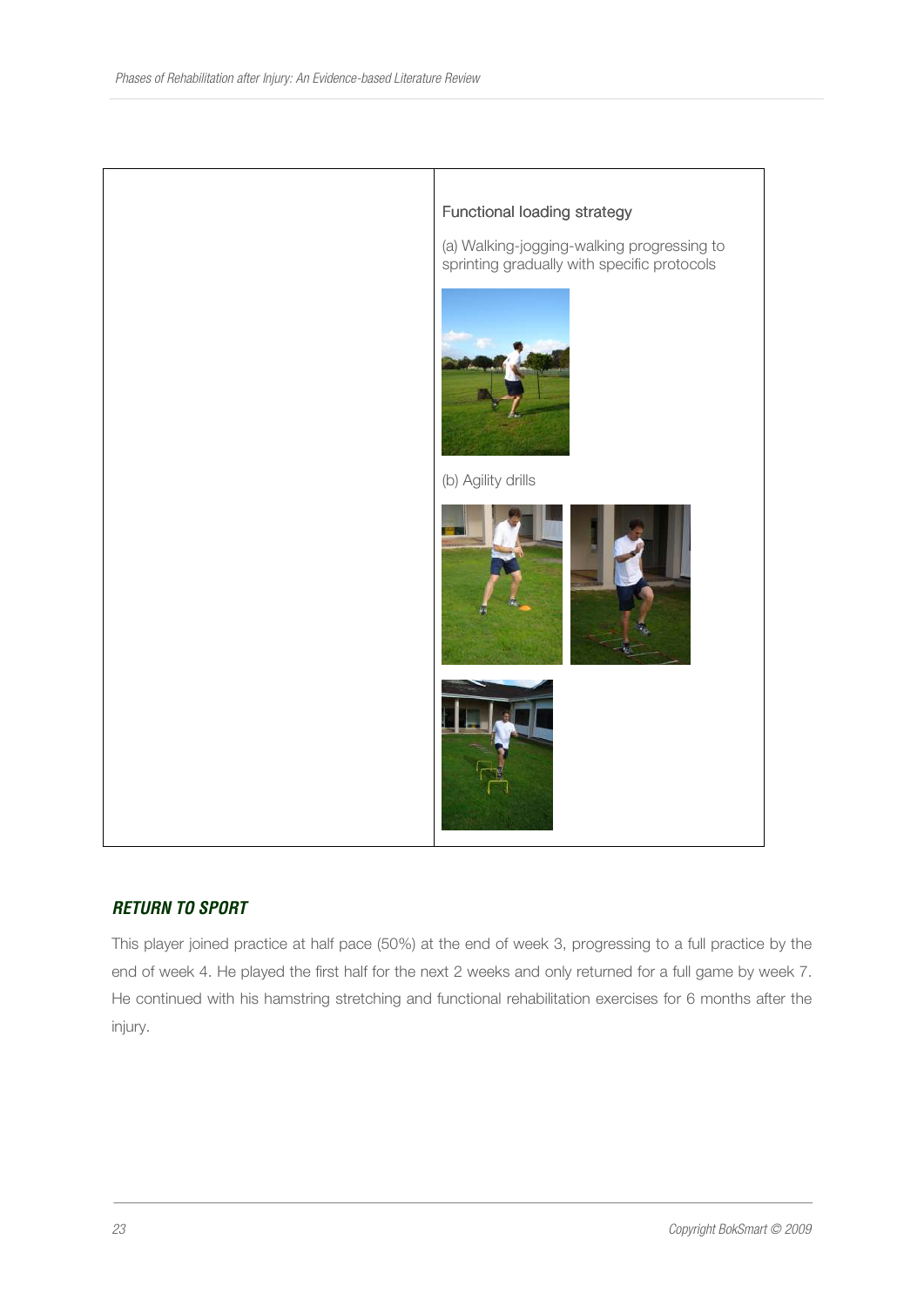

## *RETURN TO SPORT*

This player joined practice at half pace (50%) at the end of week 3, progressing to a full practice by the end of week 4. He played the first half for the next 2 weeks and only returned for a full game by week 7. He continued with his hamstring stretching and functional rehabilitation exercises for 6 months after the injury.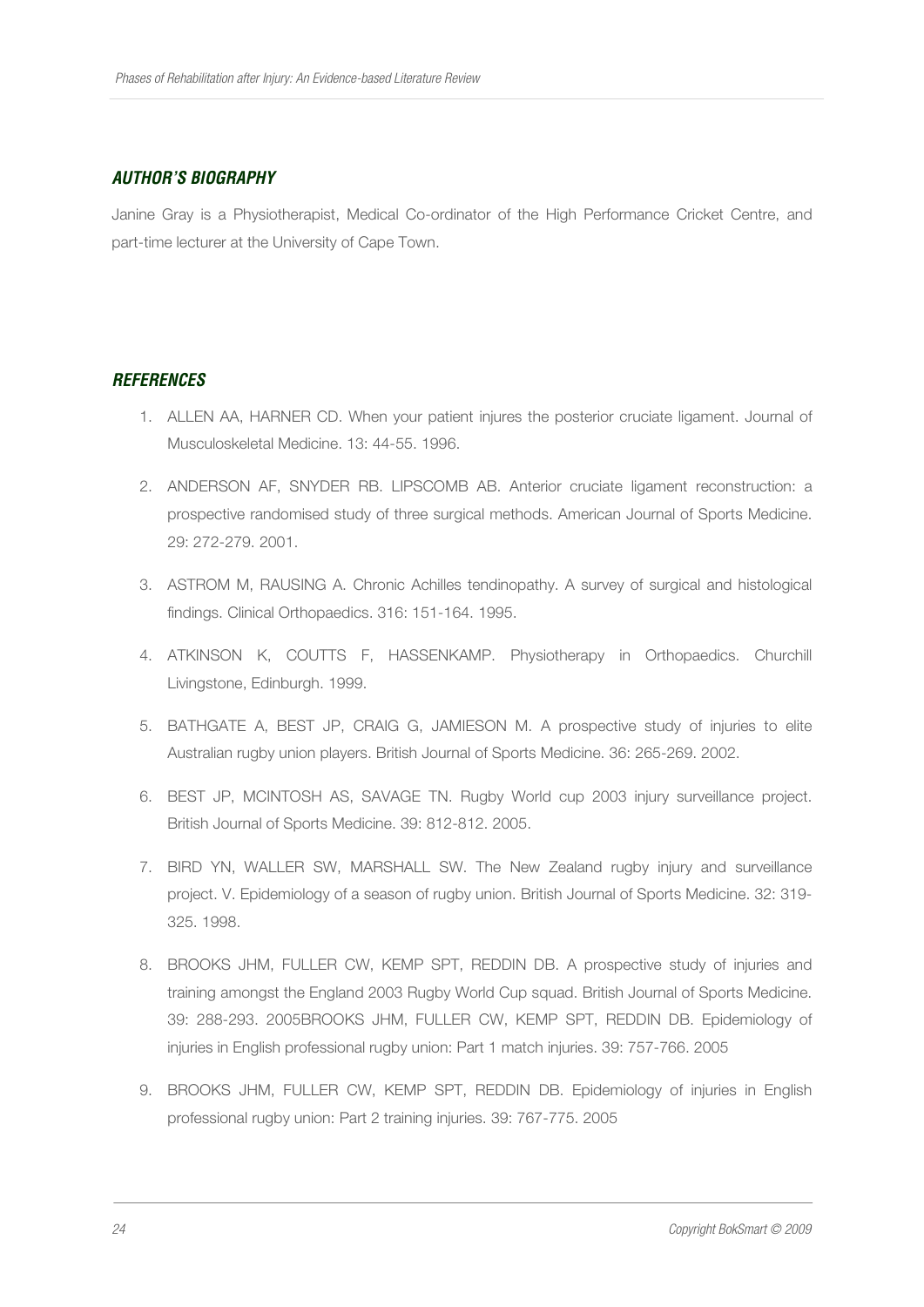## *AUTHOR'S BIOGRAPHY*

Janine Gray is a Physiotherapist, Medical Co-ordinator of the High Performance Cricket Centre, and part-time lecturer at the University of Cape Town.

## *REFERENCES*

- 1. ALLEN AA, HARNER CD. When your patient injures the posterior cruciate ligament. Journal of Musculoskeletal Medicine. 13: 44-55. 1996.
- 2. ANDERSON AF, SNYDER RB. LIPSCOMB AB. Anterior cruciate ligament reconstruction: a prospective randomised study of three surgical methods. American Journal of Sports Medicine. 29: 272-279. 2001.
- 3. ASTROM M, RAUSING A. Chronic Achilles tendinopathy. A survey of surgical and histological findings. Clinical Orthopaedics. 316: 151-164. 1995.
- 4. ATKINSON K, COUTTS F, HASSENKAMP. Physiotherapy in Orthopaedics. Churchill Livingstone, Edinburgh. 1999.
- 5. BATHGATE A, BEST JP, CRAIG G, JAMIESON M. A prospective study of injuries to elite Australian rugby union players. British Journal of Sports Medicine. 36: 265-269. 2002.
- 6. BEST JP, MCINTOSH AS, SAVAGE TN. Rugby World cup 2003 injury surveillance project. British Journal of Sports Medicine. 39: 812-812. 2005.
- 7. BIRD YN, WALLER SW, MARSHALL SW. The New Zealand rugby injury and surveillance project. V. Epidemiology of a season of rugby union. British Journal of Sports Medicine. 32: 319- 325. 1998.
- 8. BROOKS JHM, FULLER CW, KEMP SPT, REDDIN DB. A prospective study of injuries and training amongst the England 2003 Rugby World Cup squad. British Journal of Sports Medicine. 39: 288-293. 2005BROOKS JHM, FULLER CW, KEMP SPT, REDDIN DB. Epidemiology of injuries in English professional rugby union: Part 1 match injuries. 39: 757-766. 2005
- 9. BROOKS JHM, FULLER CW, KEMP SPT, REDDIN DB. Epidemiology of injuries in English professional rugby union: Part 2 training injuries. 39: 767-775. 2005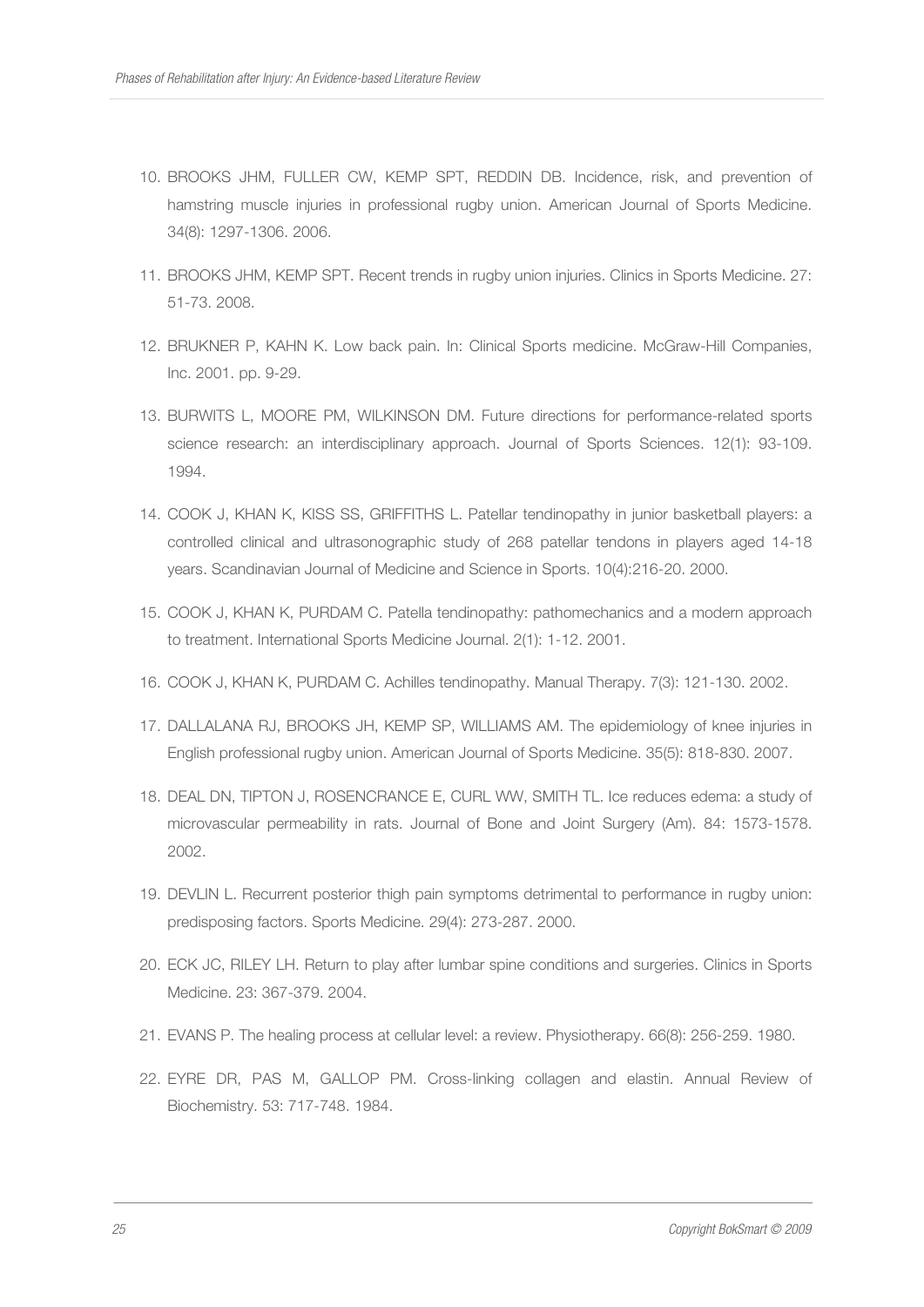- 10. BROOKS JHM, FULLER CW, KEMP SPT, REDDIN DB. Incidence, risk, and prevention of hamstring muscle injuries in professional rugby union. American Journal of Sports Medicine. 34(8): 1297-1306. 2006.
- 11. BROOKS JHM, KEMP SPT. Recent trends in rugby union injuries. Clinics in Sports Medicine. 27: 51-73. 2008.
- 12. BRUKNER P, KAHN K. Low back pain. In: Clinical Sports medicine. McGraw-Hill Companies, Inc. 2001. pp. 9-29.
- 13. BURWITS L, MOORE PM, WILKINSON DM. Future directions for performance-related sports science research: an interdisciplinary approach. Journal of Sports Sciences. 12(1): 93-109. 1994.
- 14. COOK J, KHAN K, KISS SS, GRIFFITHS L. Patellar tendinopathy in junior basketball players: a controlled clinical and ultrasonographic study of 268 patellar tendons in players aged 14-18 years. Scandinavian Journal of Medicine and Science in Sports. 10(4):216-20. 2000.
- 15. COOK J, KHAN K, PURDAM C. Patella tendinopathy: pathomechanics and a modern approach to treatment. International Sports Medicine Journal. 2(1): 1-12. 2001.
- 16. COOK J, KHAN K, PURDAM C. Achilles tendinopathy. Manual Therapy. 7(3): 121-130. 2002.
- 17. DALLALANA RJ, BROOKS JH, KEMP SP, WILLIAMS AM. The epidemiology of knee injuries in English professional rugby union. American Journal of Sports Medicine. 35(5): 818-830. 2007.
- 18. DEAL DN, TIPTON J, ROSENCRANCE E, CURL WW, SMITH TL. Ice reduces edema: a study of microvascular permeability in rats. Journal of Bone and Joint Surgery (Am). 84: 1573-1578. 2002.
- 19. DEVLIN L. Recurrent posterior thigh pain symptoms detrimental to performance in rugby union: predisposing factors. Sports Medicine. 29(4): 273-287. 2000.
- 20. ECK JC, RILEY LH. Return to play after lumbar spine conditions and surgeries. Clinics in Sports Medicine. 23: 367-379. 2004.
- 21. EVANS P. The healing process at cellular level: a review. Physiotherapy. 66(8): 256-259. 1980.
- 22. EYRE DR, PAS M, GALLOP PM. Cross-linking collagen and elastin. Annual Review of Biochemistry. 53: 717-748. 1984.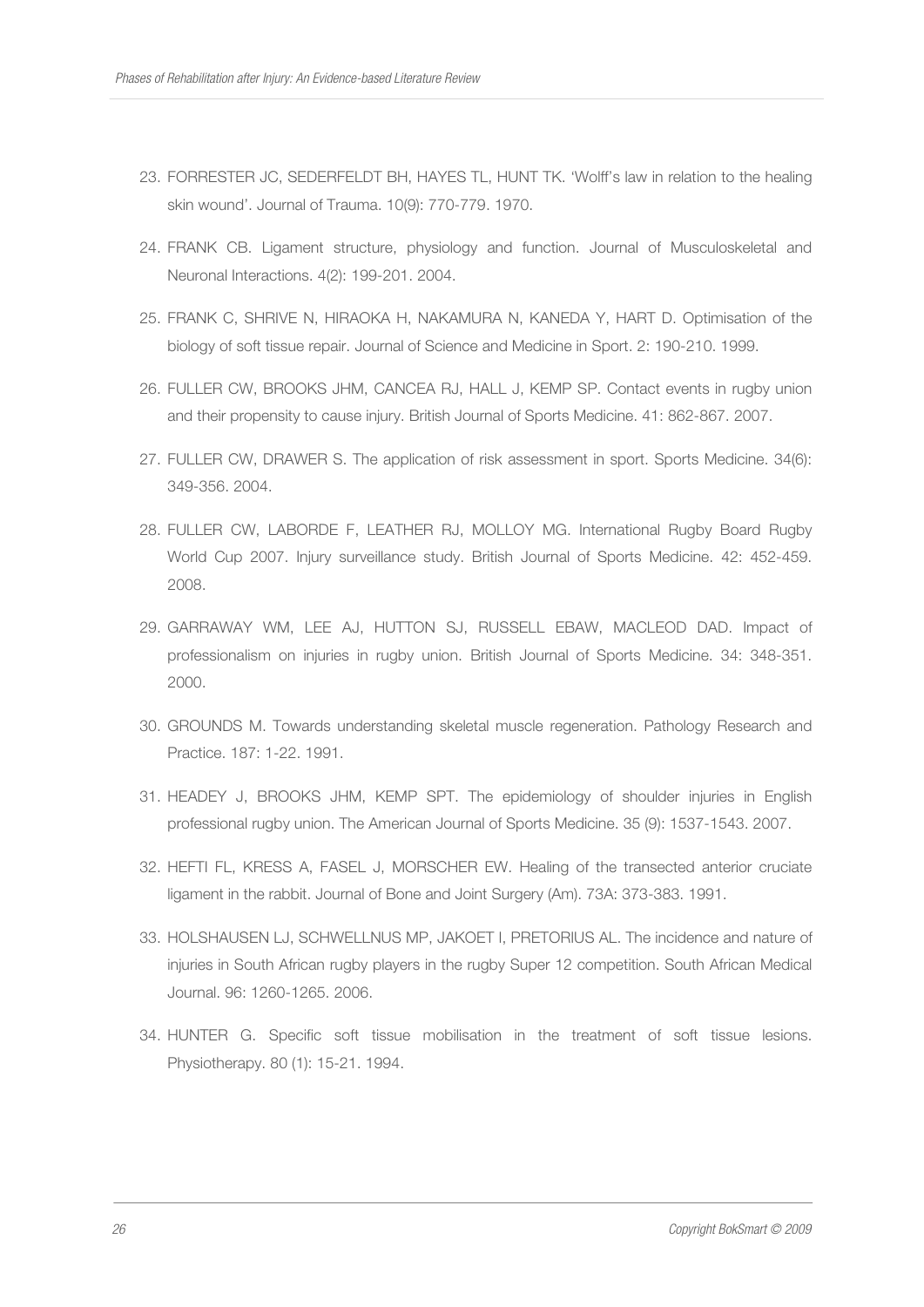- 23. FORRESTER JC, SEDERFELDT BH, HAYES TL, HUNT TK. 'Wolff's law in relation to the healing skin wound'. Journal of Trauma. 10(9): 770-779. 1970.
- 24. FRANK CB. Ligament structure, physiology and function. Journal of Musculoskeletal and Neuronal Interactions. 4(2): 199-201. 2004.
- 25. FRANK C, SHRIVE N, HIRAOKA H, NAKAMURA N, KANEDA Y, HART D. Optimisation of the biology of soft tissue repair. Journal of Science and Medicine in Sport. 2: 190-210. 1999.
- 26. FULLER CW, BROOKS JHM, CANCEA RJ, HALL J, KEMP SP. Contact events in rugby union and their propensity to cause injury. British Journal of Sports Medicine. 41: 862-867. 2007.
- 27. FULLER CW, DRAWER S. The application of risk assessment in sport. Sports Medicine. 34(6): 349-356. 2004.
- 28. FULLER CW, LABORDE F, LEATHER RJ, MOLLOY MG. International Rugby Board Rugby World Cup 2007. Injury surveillance study. British Journal of Sports Medicine. 42: 452-459. 2008.
- 29. GARRAWAY WM, LEE AJ, HUTTON SJ, RUSSELL EBAW, MACLEOD DAD. Impact of professionalism on injuries in rugby union. British Journal of Sports Medicine. 34: 348-351. 2000.
- 30. GROUNDS M. Towards understanding skeletal muscle regeneration. Pathology Research and Practice. 187: 1-22. 1991.
- 31. HEADEY J, BROOKS JHM, KEMP SPT. The epidemiology of shoulder injuries in English professional rugby union. The American Journal of Sports Medicine. 35 (9): 1537-1543. 2007.
- 32. HEFTI FL, KRESS A, FASEL J, MORSCHER EW. Healing of the transected anterior cruciate ligament in the rabbit. Journal of Bone and Joint Surgery (Am). 73A: 373-383. 1991.
- 33. HOLSHAUSEN LJ, SCHWELLNUS MP, JAKOET I, PRETORIUS AL. The incidence and nature of injuries in South African rugby players in the rugby Super 12 competition. South African Medical Journal. 96: 1260-1265. 2006.
- 34. HUNTER G. Specific soft tissue mobilisation in the treatment of soft tissue lesions. Physiotherapy. 80 (1): 15-21. 1994.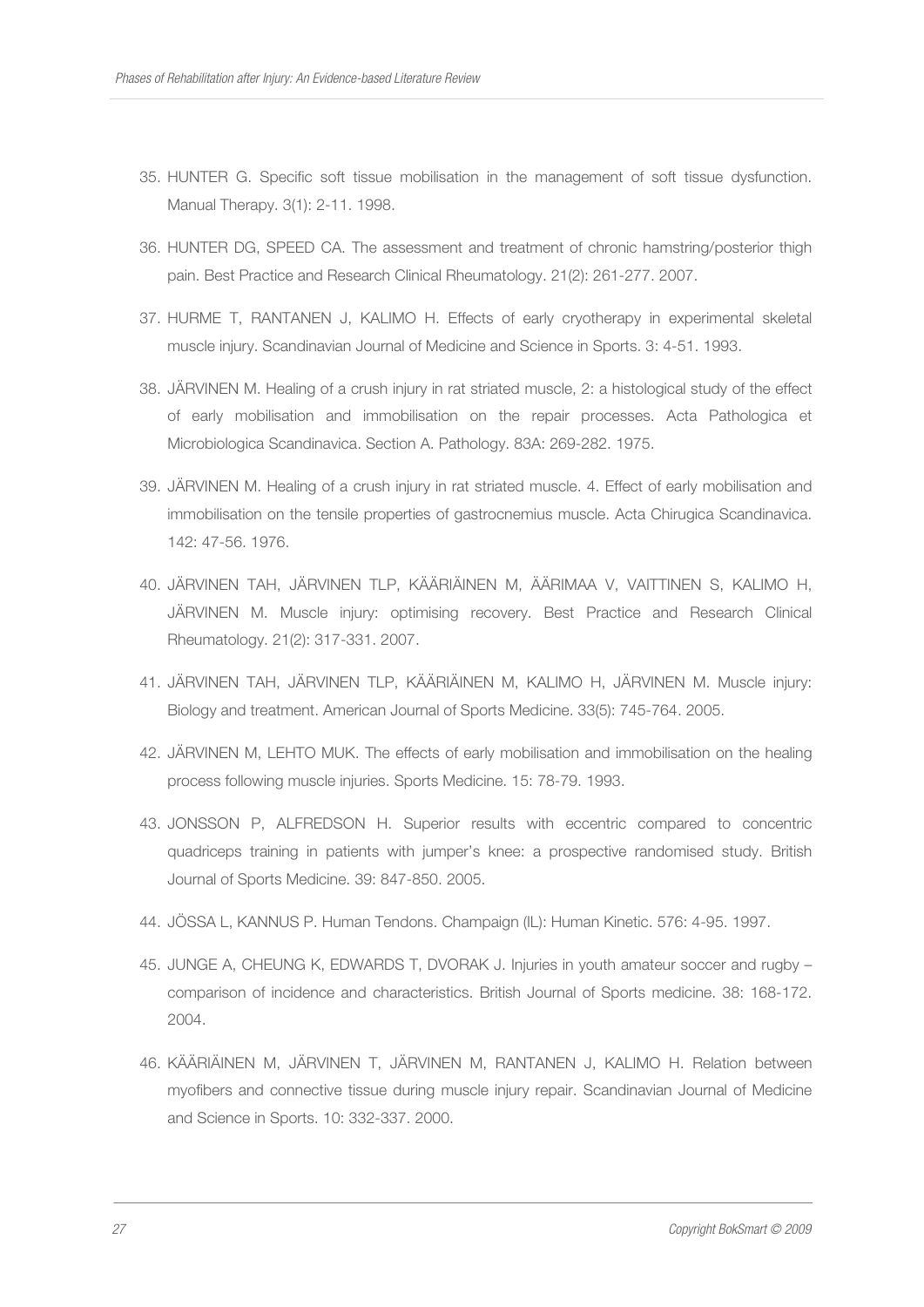- 35. HUNTER G. Specific soft tissue mobilisation in the management of soft tissue dysfunction. Manual Therapy. 3(1): 2-11. 1998.
- 36. HUNTER DG, SPEED CA. The assessment and treatment of chronic hamstring/posterior thigh pain. Best Practice and Research Clinical Rheumatology. 21(2): 261-277. 2007.
- 37. HURME T, RANTANEN J, KALIMO H. Effects of early cryotherapy in experimental skeletal muscle injury. Scandinavian Journal of Medicine and Science in Sports. 3: 4-51. 1993.
- 38. JÄRVINEN M. Healing of a crush injury in rat striated muscle, 2: a histological study of the effect of early mobilisation and immobilisation on the repair processes. Acta Pathologica et Microbiologica Scandinavica. Section A. Pathology. 83A: 269-282. 1975.
- 39. JÄRVINEN M. Healing of a crush injury in rat striated muscle. 4. Effect of early mobilisation and immobilisation on the tensile properties of gastrocnemius muscle. Acta Chirugica Scandinavica. 142: 47-56. 1976.
- 40. JÄRVINEN TAH, JÄRVINEN TLP, KÄÄRIÄINEN M, ÄÄRIMAA V, VAITTINEN S, KALIMO H, JÄRVINEN M. Muscle injury: optimising recovery. Best Practice and Research Clinical Rheumatology. 21(2): 317-331. 2007.
- 41. JÄRVINEN TAH, JÄRVINEN TLP, KÄÄRIÄINEN M, KALIMO H, JÄRVINEN M. Muscle injury: Biology and treatment. American Journal of Sports Medicine. 33(5): 745-764. 2005.
- 42. JÄRVINEN M, LEHTO MUK. The effects of early mobilisation and immobilisation on the healing process following muscle injuries. Sports Medicine. 15: 78-79. 1993.
- 43. JONSSON P, ALFREDSON H. Superior results with eccentric compared to concentric quadriceps training in patients with jumper's knee: a prospective randomised study. British Journal of Sports Medicine. 39: 847-850. 2005.
- 44. JÖSSA L, KANNUS P. Human Tendons. Champaign (IL): Human Kinetic. 576: 4-95. 1997.
- 45. JUNGE A, CHEUNG K, EDWARDS T, DVORAK J. Injuries in youth amateur soccer and rugby comparison of incidence and characteristics. British Journal of Sports medicine. 38: 168-172. 2004.
- 46. KÄÄRIÄINEN M, JÄRVINEN T, JÄRVINEN M, RANTANEN J, KALIMO H. Relation between myofibers and connective tissue during muscle injury repair. Scandinavian Journal of Medicine and Science in Sports. 10: 332-337. 2000.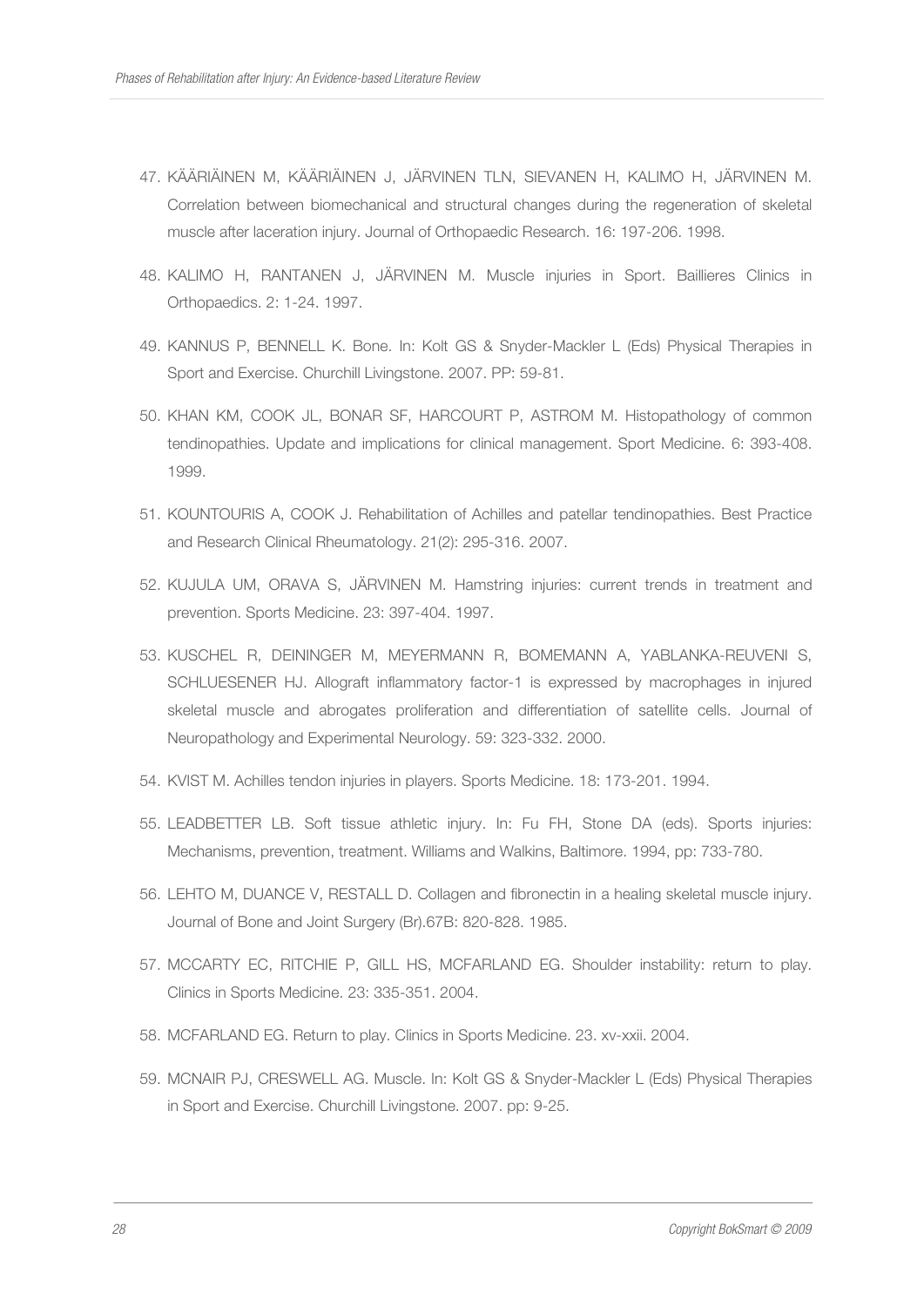- 47. KÄÄRIÄINEN M, KÄÄRIÄINEN J, JÄRVINEN TLN, SIEVANEN H, KALIMO H, JÄRVINEN M. Correlation between biomechanical and structural changes during the regeneration of skeletal muscle after laceration injury. Journal of Orthopaedic Research. 16: 197-206. 1998.
- 48. KALIMO H, RANTANEN J, JÄRVINEN M. Muscle injuries in Sport. Baillieres Clinics in Orthopaedics. 2: 1-24. 1997.
- 49. KANNUS P, BENNELL K. Bone. In: Kolt GS & Snyder-Mackler L (Eds) Physical Therapies in Sport and Exercise. Churchill Livingstone. 2007. PP: 59-81.
- 50. KHAN KM, COOK JL, BONAR SF, HARCOURT P, ASTROM M. Histopathology of common tendinopathies. Update and implications for clinical management. Sport Medicine. 6: 393-408. 1999.
- 51. KOUNTOURIS A, COOK J. Rehabilitation of Achilles and patellar tendinopathies. Best Practice and Research Clinical Rheumatology. 21(2): 295-316. 2007.
- 52. KUJULA UM, ORAVA S, JÄRVINEN M. Hamstring injuries: current trends in treatment and prevention. Sports Medicine. 23: 397-404. 1997.
- 53. KUSCHEL R, DEININGER M, MEYERMANN R, BOMEMANN A, YABLANKA-REUVENI S, SCHLUESENER HJ. Allograft inflammatory factor-1 is expressed by macrophages in injured skeletal muscle and abrogates proliferation and differentiation of satellite cells. Journal of Neuropathology and Experimental Neurology. 59: 323-332. 2000.
- 54. KVIST M. Achilles tendon injuries in players. Sports Medicine. 18: 173-201. 1994.
- 55. LEADBETTER LB. Soft tissue athletic injury. In: Fu FH, Stone DA (eds). Sports injuries: Mechanisms, prevention, treatment. Williams and Walkins, Baltimore. 1994, pp: 733-780.
- 56. LEHTO M, DUANCE V, RESTALL D. Collagen and fibronectin in a healing skeletal muscle injury. Journal of Bone and Joint Surgery (Br).67B: 820-828. 1985.
- 57. MCCARTY EC, RITCHIE P, GILL HS, MCFARLAND EG. Shoulder instability: return to play. Clinics in Sports Medicine. 23: 335-351. 2004.
- 58. MCFARLAND EG. Return to play. Clinics in Sports Medicine. 23. xv-xxii. 2004.
- 59. MCNAIR PJ, CRESWELL AG. Muscle. In: Kolt GS & Snyder-Mackler L (Eds) Physical Therapies in Sport and Exercise. Churchill Livingstone. 2007. pp: 9-25.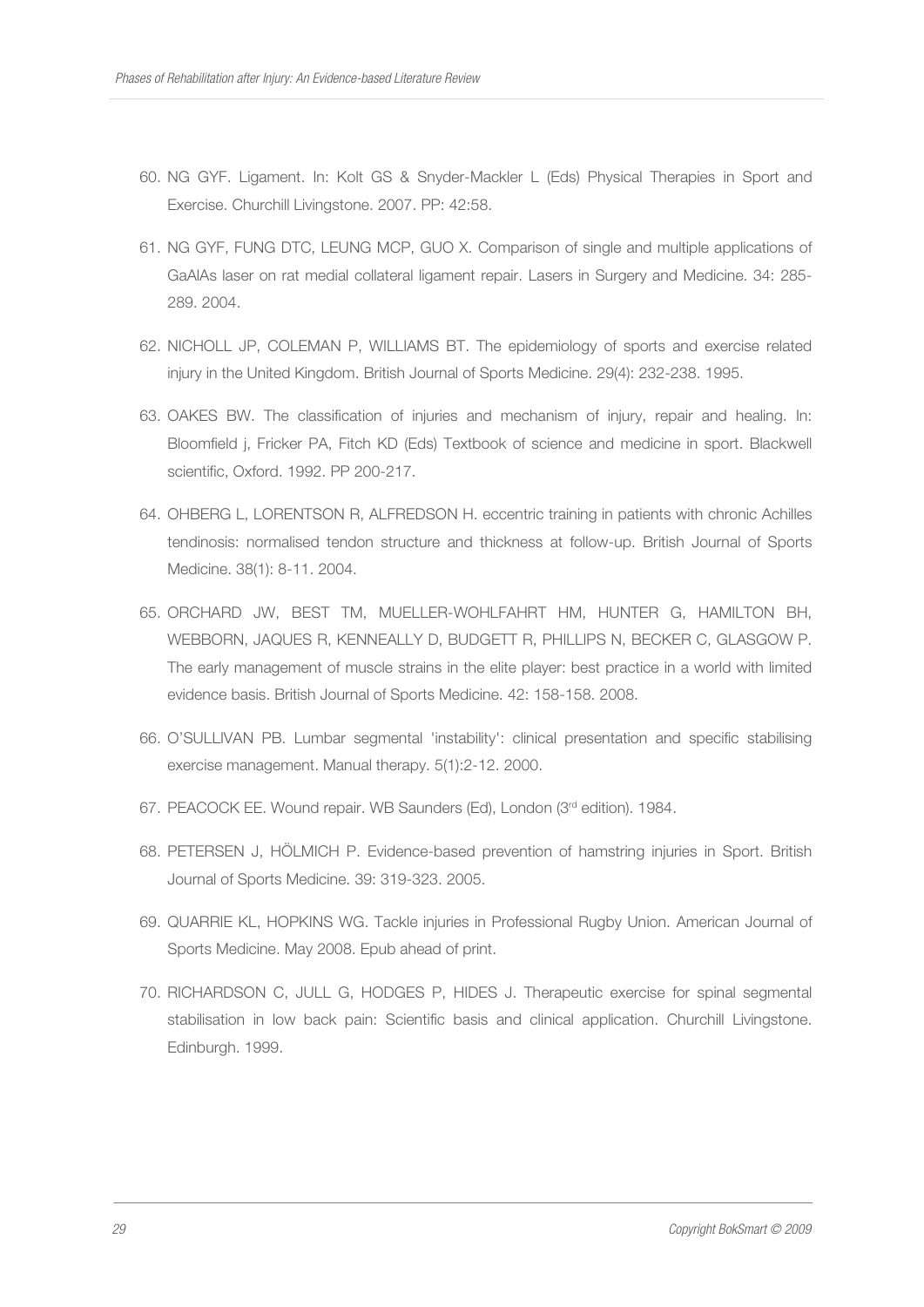- 60. NG GYF. Ligament. In: Kolt GS & Snyder-Mackler L (Eds) Physical Therapies in Sport and Exercise. Churchill Livingstone. 2007. PP: 42:58.
- 61. NG GYF, FUNG DTC, LEUNG MCP, GUO X. Comparison of single and multiple applications of GaAlAs laser on rat medial collateral ligament repair. Lasers in Surgery and Medicine. 34: 285- 289. 2004.
- 62. NICHOLL JP, COLEMAN P, WILLIAMS BT. The epidemiology of sports and exercise related injury in the United Kingdom. British Journal of Sports Medicine. 29(4): 232-238. 1995.
- 63. OAKES BW. The classification of injuries and mechanism of injury, repair and healing. In: Bloomfield j, Fricker PA, Fitch KD (Eds) Textbook of science and medicine in sport. Blackwell scientific, Oxford. 1992. PP 200-217.
- 64. OHBERG L, LORENTSON R, ALFREDSON H. eccentric training in patients with chronic Achilles tendinosis: normalised tendon structure and thickness at follow-up. British Journal of Sports Medicine. 38(1): 8-11. 2004.
- 65. ORCHARD JW, BEST TM, MUELLER-WOHLFAHRT HM, HUNTER G, HAMILTON BH, WEBBORN, JAQUES R, KENNEALLY D, BUDGETT R, PHILLIPS N, BECKER C, GLASGOW P. The early management of muscle strains in the elite player: best practice in a world with limited evidence basis. British Journal of Sports Medicine. 42: 158-158. 2008.
- 66. O'SULLIVAN PB. Lumbar segmental 'instability': clinical presentation and specific stabilising exercise management. Manual therapy. 5(1):2-12. 2000.
- 67. PEACOCK EE. Wound repair. WB Saunders (Ed), London (3rd edition). 1984.
- 68. PETERSEN J, HÖLMICH P. Evidence-based prevention of hamstring injuries in Sport. British Journal of Sports Medicine. 39: 319-323. 2005.
- 69. QUARRIE KL, HOPKINS WG. Tackle injuries in Professional Rugby Union. American Journal of Sports Medicine. May 2008. Epub ahead of print.
- 70. RICHARDSON C, JULL G, HODGES P, HIDES J. Therapeutic exercise for spinal segmental stabilisation in low back pain: Scientific basis and clinical application. Churchill Livingstone. Edinburgh. 1999.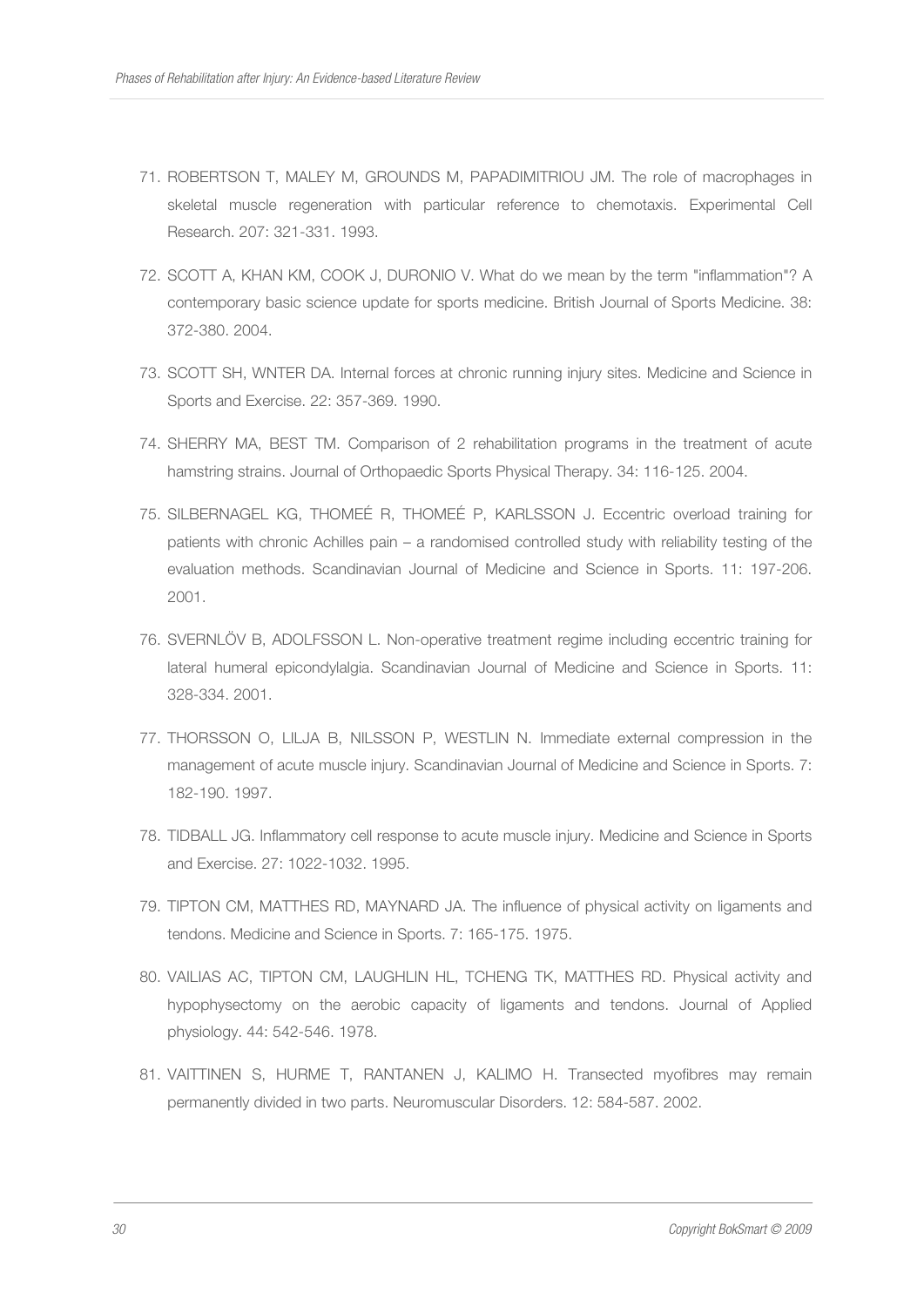- 71. ROBERTSON T, MALEY M, GROUNDS M, PAPADIMITRIOU JM. The role of macrophages in skeletal muscle regeneration with particular reference to chemotaxis. Experimental Cell Research. 207: 321-331. 1993.
- 72. SCOTT A, KHAN KM, COOK J, DURONIO V. What do we mean by the term "inflammation"? A contemporary basic science update for sports medicine. British Journal of Sports Medicine. 38: 372-380. 2004.
- 73. SCOTT SH, WNTER DA. Internal forces at chronic running injury sites. Medicine and Science in Sports and Exercise. 22: 357-369. 1990.
- 74. SHERRY MA, BEST TM. Comparison of 2 rehabilitation programs in the treatment of acute hamstring strains. Journal of Orthopaedic Sports Physical Therapy. 34: 116-125. 2004.
- 75. SILBERNAGEL KG, THOMEÉ R, THOMEÉ P, KARLSSON J. Eccentric overload training for patients with chronic Achilles pain – a randomised controlled study with reliability testing of the evaluation methods. Scandinavian Journal of Medicine and Science in Sports. 11: 197-206. 2001.
- 76. SVERNLÖV B, ADOLFSSON L. Non-operative treatment regime including eccentric training for lateral humeral epicondylalgia. Scandinavian Journal of Medicine and Science in Sports. 11: 328-334. 2001.
- 77. THORSSON O, LILJA B, NILSSON P, WESTLIN N. Immediate external compression in the management of acute muscle injury. Scandinavian Journal of Medicine and Science in Sports. 7: 182-190. 1997.
- 78. TIDBALL JG. Inflammatory cell response to acute muscle injury. Medicine and Science in Sports and Exercise. 27: 1022-1032. 1995.
- 79. TIPTON CM, MATTHES RD, MAYNARD JA. The influence of physical activity on ligaments and tendons. Medicine and Science in Sports. 7: 165-175. 1975.
- 80. VAILIAS AC, TIPTON CM, LAUGHLIN HL, TCHENG TK, MATTHES RD. Physical activity and hypophysectomy on the aerobic capacity of ligaments and tendons. Journal of Applied physiology. 44: 542-546. 1978.
- 81. VAITTINEN S, HURME T, RANTANEN J, KALIMO H. Transected myofibres may remain permanently divided in two parts. Neuromuscular Disorders. 12: 584-587. 2002.